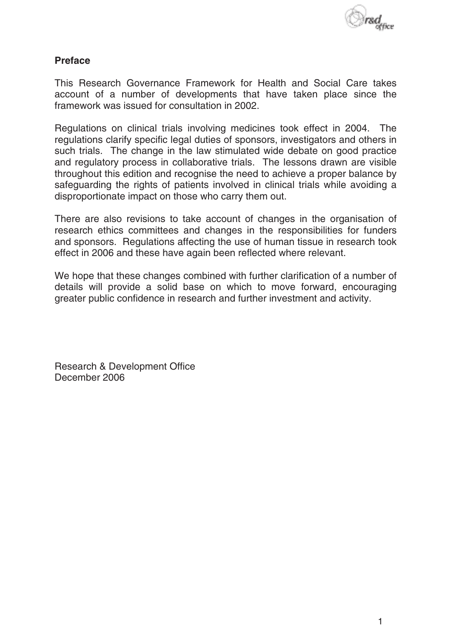

## **Preface**

This Research Governance Framework for Health and Social Care takes account of a number of developments that have taken place since the framework was issued for consultation in 2002.

Regulations on clinical trials involving medicines took effect in 2004. The regulations clarify specific legal duties of sponsors, investigators and others in such trials. The change in the law stimulated wide debate on good practice and regulatory process in collaborative trials. The lessons drawn are visible throughout this edition and recognise the need to achieve a proper balance by safeguarding the rights of patients involved in clinical trials while avoiding a disproportionate impact on those who carry them out.

There are also revisions to take account of changes in the organisation of research ethics committees and changes in the responsibilities for funders and sponsors. Regulations affecting the use of human tissue in research took effect in 2006 and these have again been reflected where relevant.

We hope that these changes combined with further clarification of a number of details will provide a solid base on which to move forward, encouraging greater public confidence in research and further investment and activity.

Research & Development Office December 2006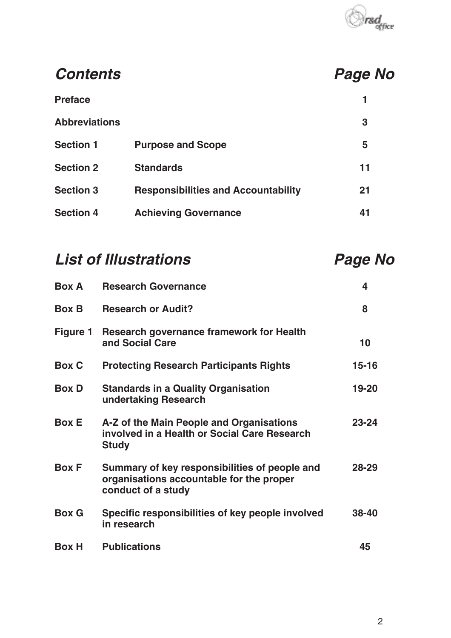

## **Contents**

## **Page No**

| <b>Preface</b>       |                                            |    |
|----------------------|--------------------------------------------|----|
| <b>Abbreviations</b> |                                            | 3  |
| <b>Section 1</b>     | <b>Purpose and Scope</b>                   | 5  |
| <b>Section 2</b>     | <b>Standards</b>                           | 11 |
| <b>Section 3</b>     | <b>Responsibilities and Accountability</b> | 21 |
| <b>Section 4</b>     | <b>Achieving Governance</b>                | 41 |

# **List of Illustrations Page No**

| <b>Box A</b>    | <b>Research Governance</b>                                                                                      | 4         |
|-----------------|-----------------------------------------------------------------------------------------------------------------|-----------|
| <b>Box B</b>    | <b>Research or Audit?</b>                                                                                       | 8         |
| <b>Figure 1</b> | Research governance framework for Health<br>and Social Care                                                     | 10        |
| <b>Box C</b>    | <b>Protecting Research Participants Rights</b>                                                                  | $15 - 16$ |
| <b>Box D</b>    | <b>Standards in a Quality Organisation</b><br>undertaking Research                                              | 19-20     |
| <b>Box E</b>    | A-Z of the Main People and Organisations<br>involved in a Health or Social Care Research<br><b>Study</b>        | $23 - 24$ |
| <b>Box F</b>    | Summary of key responsibilities of people and<br>organisations accountable for the proper<br>conduct of a study | 28-29     |
| <b>Box G</b>    | Specific responsibilities of key people involved<br>in research                                                 | 38-40     |
| <b>Box H</b>    | <b>Publications</b>                                                                                             | 45        |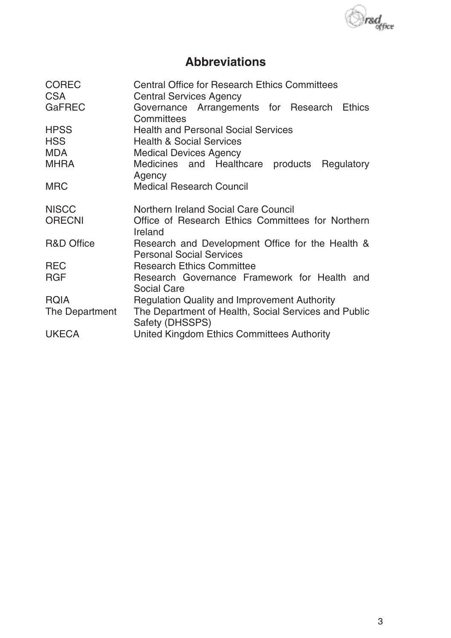

## **Abbreviations**

| <b>COREC</b><br><b>CSA</b> | <b>Central Office for Research Ethics Committees</b><br><b>Central Services Agency</b> |  |  |
|----------------------------|----------------------------------------------------------------------------------------|--|--|
| <b>GaFREC</b>              | <b>Ethics</b><br>Governance Arrangements for Research<br>Committees                    |  |  |
| <b>HPSS</b>                | <b>Health and Personal Social Services</b>                                             |  |  |
| <b>HSS</b>                 | <b>Health &amp; Social Services</b>                                                    |  |  |
| <b>MDA</b>                 | <b>Medical Devices Agency</b>                                                          |  |  |
| <b>MHRA</b>                | Medicines and Healthcare products Regulatory<br>Agency                                 |  |  |
| <b>MRC</b>                 | <b>Medical Research Council</b>                                                        |  |  |
| <b>NISCC</b>               | Northern Ireland Social Care Council                                                   |  |  |
| <b>ORECNI</b>              | Office of Research Ethics Committees for Northern<br>Ireland                           |  |  |
| <b>R&amp;D Office</b>      | Research and Development Office for the Health &<br><b>Personal Social Services</b>    |  |  |
| <b>REC</b>                 | <b>Research Ethics Committee</b>                                                       |  |  |
| <b>RGF</b>                 | Research Governance Framework for Health and<br><b>Social Care</b>                     |  |  |
| <b>RQIA</b>                | <b>Regulation Quality and Improvement Authority</b>                                    |  |  |
| The Department             | The Department of Health, Social Services and Public<br>Safety (DHSSPS)                |  |  |
| <b>UKECA</b>               | United Kingdom Ethics Committees Authority                                             |  |  |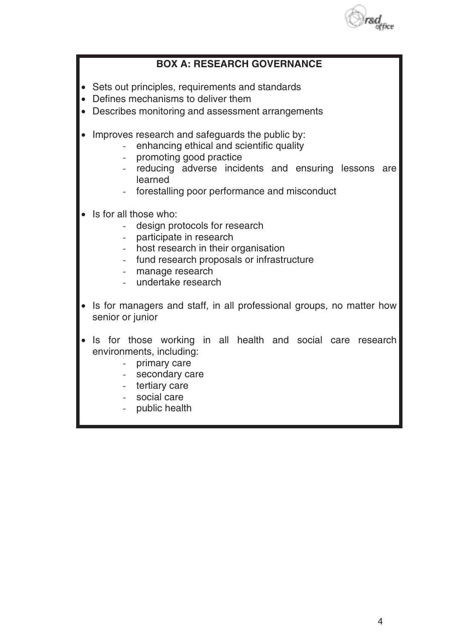

## **BOX A: RESEARCH GOVERNANCE**

- Sets out principles, requirements and standards
- Defines mechanisms to deliver them
- Describes monitoring and assessment arrangements
- Improves research and safeguards the public by:
	- enhancing ethical and scientific quality
	- promoting good practice
	- reducing adverse incidents and ensuring lessons are learned
	- forestalling poor performance and misconduct
- Is for all those who:
	- design protocols for research
	- participate in research
	- host research in their organisation
	- fund research proposals or infrastructure
	- manage research
	- undertake research
- Is for managers and staff, in all professional groups, no matter how senior or junior
- Is for those working in all health and social care research environments, including:
	- primary care
	- secondary care
	- tertiary care
	- social care
	- public health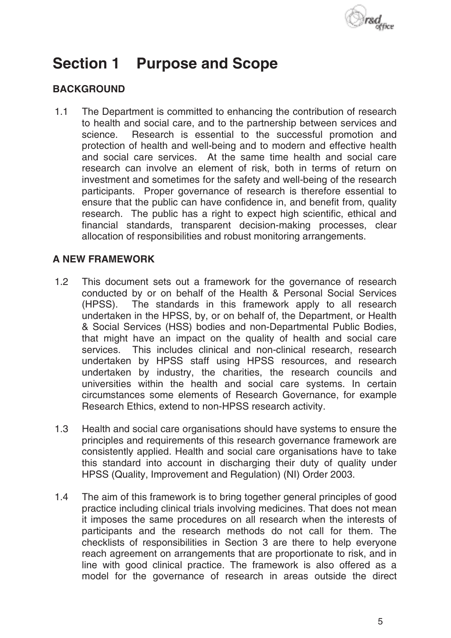

## **Section 1 Purpose and Scope**

## **BACKGROUND**

1.1 The Department is committed to enhancing the contribution of research to health and social care, and to the partnership between services and science. Research is essential to the successful promotion and protection of health and well-being and to modern and effective health and social care services. At the same time health and social care research can involve an element of risk, both in terms of return on investment and sometimes for the safety and well-being of the research participants. Proper governance of research is therefore essential to ensure that the public can have confidence in, and benefit from, quality research. The public has a right to expect high scientific, ethical and financial standards, transparent decision-making processes, clear allocation of responsibilities and robust monitoring arrangements.

## **A NEW FRAMEWORK**

- 1.2 This document sets out a framework for the governance of research conducted by or on behalf of the Health & Personal Social Services (HPSS). The standards in this framework apply to all research undertaken in the HPSS, by, or on behalf of, the Department, or Health & Social Services (HSS) bodies and non-Departmental Public Bodies, that might have an impact on the quality of health and social care services. This includes clinical and non-clinical research, research undertaken by HPSS staff using HPSS resources, and research undertaken by industry, the charities, the research councils and universities within the health and social care systems. In certain circumstances some elements of Research Governance, for example Research Ethics, extend to non-HPSS research activity.
- 1.3 Health and social care organisations should have systems to ensure the principles and requirements of this research governance framework are consistently applied. Health and social care organisations have to take this standard into account in discharging their duty of quality under HPSS (Quality, Improvement and Regulation) (NI) Order 2003.
- 1.4 The aim of this framework is to bring together general principles of good practice including clinical trials involving medicines. That does not mean it imposes the same procedures on all research when the interests of participants and the research methods do not call for them. The checklists of responsibilities in Section 3 are there to help everyone reach agreement on arrangements that are proportionate to risk, and in line with good clinical practice. The framework is also offered as a model for the governance of research in areas outside the direct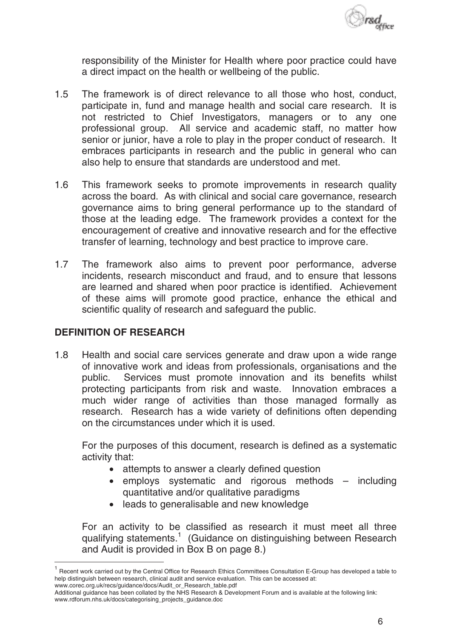

responsibility of the Minister for Health where poor practice could have a direct impact on the health or wellbeing of the public.

- 1.5 The framework is of direct relevance to all those who host, conduct, participate in, fund and manage health and social care research. It is not restricted to Chief Investigators, managers or to any one professional group. All service and academic staff, no matter how senior or junior, have a role to play in the proper conduct of research. It embraces participants in research and the public in general who can also help to ensure that standards are understood and met.
- 1.6 This framework seeks to promote improvements in research quality across the board. As with clinical and social care governance, research governance aims to bring general performance up to the standard of those at the leading edge. The framework provides a context for the encouragement of creative and innovative research and for the effective transfer of learning, technology and best practice to improve care.
- 1.7 The framework also aims to prevent poor performance, adverse incidents, research misconduct and fraud, and to ensure that lessons are learned and shared when poor practice is identified. Achievement of these aims will promote good practice, enhance the ethical and scientific quality of research and safeguard the public.

## **DEFINITION OF RESEARCH**

 $\overline{a}$ 

1.8 Health and social care services generate and draw upon a wide range of innovative work and ideas from professionals, organisations and the public. Services must promote innovation and its benefits whilst protecting participants from risk and waste. Innovation embraces a much wider range of activities than those managed formally as research. Research has a wide variety of definitions often depending on the circumstances under which it is used.

For the purposes of this document, research is defined as a systematic activity that:

- attempts to answer a clearly defined question
- employs systematic and rigorous methods including quantitative and/or qualitative paradigms
- leads to generalisable and new knowledge

 For an activity to be classified as research it must meet all three qualifying statements.<sup>1</sup> (Guidance on distinguishing between Research and Audit is provided in Box B on page 8.)

<sup>&</sup>lt;sup>1</sup> Recent work carried out by the Central Office for Research Ethics Committees Consultation E-Group has developed a table to www.corec.org.uk/recs/guidance/docs/Audit\_or\_Research\_table.pdf help distinguish between research, clinical audit and service evaluation. This can be accessed at:

Additional guidance has been collated by the NHS Research & Development Forum and is available at the following link: www.rdforum.nhs.uk/docs/categorising\_projects\_guidance.doc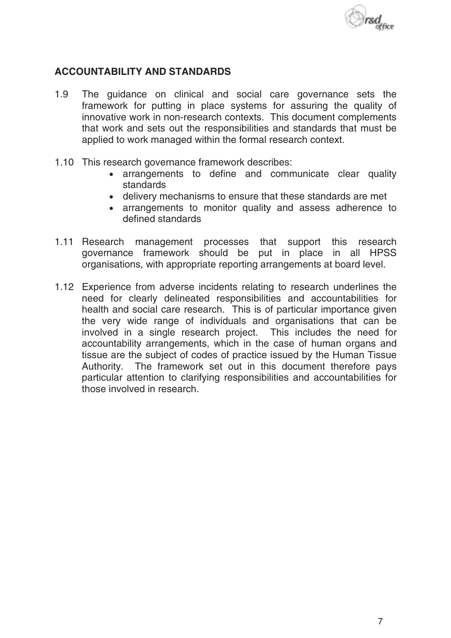

## **ACCOUNTABILITY AND STANDARDS**

- 1.9 The guidance on clinical and social care governance sets the framework for putting in place systems for assuring the quality of innovative work in non-research contexts. This document complements that work and sets out the responsibilities and standards that must be applied to work managed within the formal research context.
- 1.10 This research governance framework describes:
	- arrangements to define and communicate clear quality standards
	- delivery mechanisms to ensure that these standards are met
	- arrangements to monitor quality and assess adherence to defined standards
- 1.11 Research management processes that support this research governance framework should be put in place in all HPSS organisations, with appropriate reporting arrangements at board level.
- 1.12 Experience from adverse incidents relating to research underlines the need for clearly delineated responsibilities and accountabilities for health and social care research. This is of particular importance given the very wide range of individuals and organisations that can be involved in a single research project. This includes the need for accountability arrangements, which in the case of human organs and tissue are the subject of codes of practice issued by the Human Tissue Authority. The framework set out in this document therefore pays particular attention to clarifying responsibilities and accountabilities for those involved in research.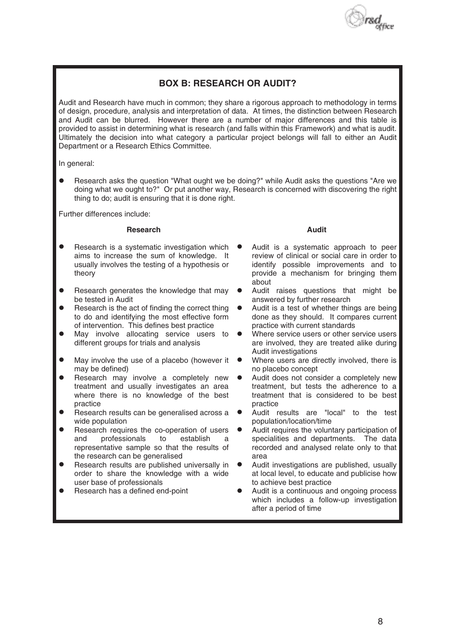

## **BOX B: RESEARCH OR AUDIT?**

Audit and Research have much in common; they share a rigorous approach to methodology in terms of design, procedure, analysis and interpretation of data. At times, the distinction between Research and Audit can be blurred. However there are a number of major differences and this table is provided to assist in determining what is research (and falls within this Framework) and what is audit. Ultimately the decision into what category a particular project belongs will fall to either an Audit Department or a Research Ethics Committee.

In general:

Research asks the question "What ought we be doing?" while Audit asks the questions "Are we doing what we ought to?" Or put another way, Research is concerned with discovering the right thing to do; audit is ensuring that it is done right.

Further differences include:

#### **Research Audit Audit**

- Research is a systematic investigation which aims to increase the sum of knowledge. It usually involves the testing of a hypothesis or theory
- Research generates the knowledge that may be tested in Audit
- Research is the act of finding the correct thing to do and identifying the most effective form of intervention. This defines best practice
- May involve allocating service users to different groups for trials and analysis
- May involve the use of a placebo (however it may be defined)
- Research may involve a completely new treatment and usually investigates an area where there is no knowledge of the best practice
- Research results can be generalised across a wide population
- Research requires the co-operation of users<br>and professionals to establish a and professionals to establish a representative sample so that the results of the research can be generalised
- Research results are published universally in order to share the knowledge with a wide user base of professionals
- 

- Audit is a systematic approach to peer review of clinical or social care in order to identify possible improvements and to provide a mechanism for bringing them about
- Audit raises questions that might be answered by further research
- Audit is a test of whether things are being done as they should. It compares current practice with current standards
- Where service users or other service users are involved, they are treated alike during Audit investigations
- Where users are directly involved, there is no placebo concept
- Audit does not consider a completely new treatment, but tests the adherence to a treatment that is considered to be best practice
- z Audit results are "local" to the test population/location/time
- Audit requires the voluntary participation of specialities and departments. The data recorded and analysed relate only to that area
- Audit investigations are published, usually at local level, to educate and publicise how to achieve best practice
- Research has a defined end-point  $\bullet$  Audit is a continuous and ongoing process which includes a follow-up investigation after a period of time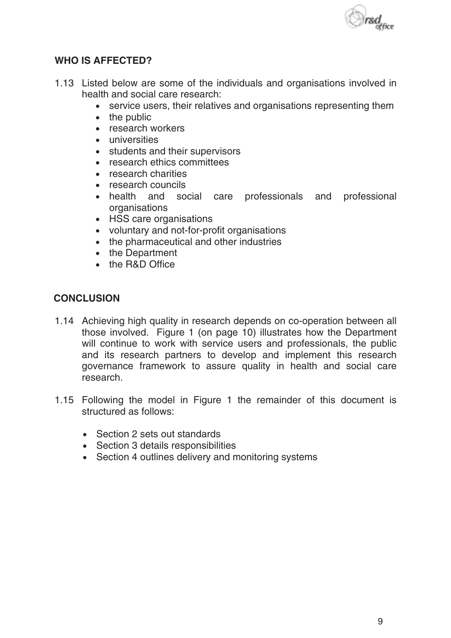

## **WHO IS AFFECTED?**

- 1.13 Listed below are some of the individuals and organisations involved in health and social care research:
	- service users, their relatives and organisations representing them
	- $\bullet$  the public
	- research workers
	- universities
	- students and their supervisors
	- research ethics committees
	- research charities
	- research councils
	- health and social care professionals and professional **organisations**
	- HSS care organisations
	- x voluntary and not-for-profit organisations
	- the pharmaceutical and other industries
	- the Department
	- $\bullet$  the R&D Office

## **CONCLUSION**

- 1.14 Achieving high quality in research depends on co-operation between all those involved. Figure 1 (on page 10) illustrates how the Department will continue to work with service users and professionals, the public and its research partners to develop and implement this research governance framework to assure quality in health and social care research.
- 1.15 Following the model in Figure 1 the remainder of this document is structured as follows:
	- Section 2 sets out standards
	- Section 3 details responsibilities
	- Section 4 outlines delivery and monitoring systems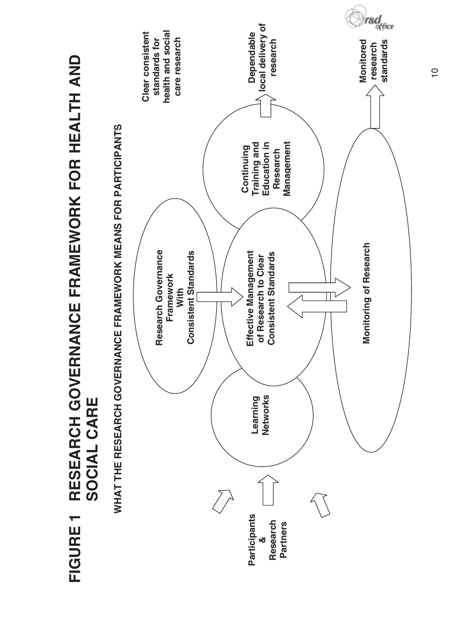

 $\frac{1}{2}$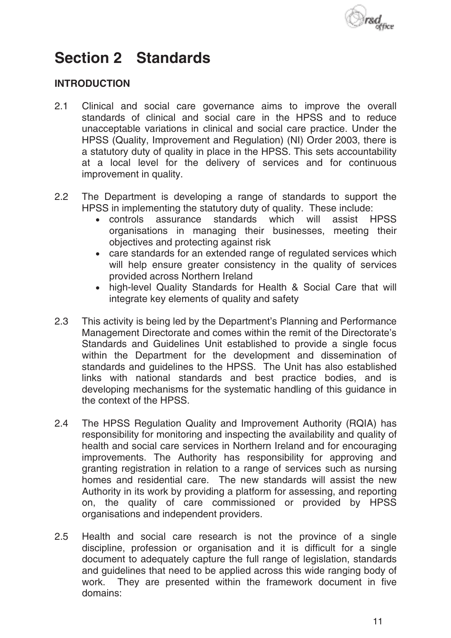

## **Section 2 Standards**

## **INTRODUCTION**

- 2.1 Clinical and social care governance aims to improve the overall standards of clinical and social care in the HPSS and to reduce unacceptable variations in clinical and social care practice. Under the HPSS (Quality, Improvement and Regulation) (NI) Order 2003, there is a statutory duty of quality in place in the HPSS. This sets accountability at a local level for the delivery of services and for continuous improvement in quality.
- 2.2 The Department is developing a range of standards to support the HPSS in implementing the statutory duty of quality. These include:
	- controls assurance standards which will assist HPSS organisations in managing their businesses, meeting their objectives and protecting against risk
	- care standards for an extended range of regulated services which will help ensure greater consistency in the quality of services provided across Northern Ireland
	- high-level Quality Standards for Health & Social Care that will integrate key elements of quality and safety
- 2.3 This activity is being led by the Department's Planning and Performance Management Directorate and comes within the remit of the Directorate's Standards and Guidelines Unit established to provide a single focus within the Department for the development and dissemination of standards and guidelines to the HPSS. The Unit has also established links with national standards and best practice bodies, and is developing mechanisms for the systematic handling of this guidance in the context of the HPSS.
- 2.4 The HPSS Regulation Quality and Improvement Authority (RQIA) has responsibility for monitoring and inspecting the availability and quality of health and social care services in Northern Ireland and for encouraging improvements. The Authority has responsibility for approving and granting registration in relation to a range of services such as nursing homes and residential care. The new standards will assist the new Authority in its work by providing a platform for assessing, and reporting on, the quality of care commissioned or provided by HPSS organisations and independent providers.
- 2.5 Health and social care research is not the province of a single discipline, profession or organisation and it is difficult for a single document to adequately capture the full range of legislation, standards and guidelines that need to be applied across this wide ranging body of work. They are presented within the framework document in five domains: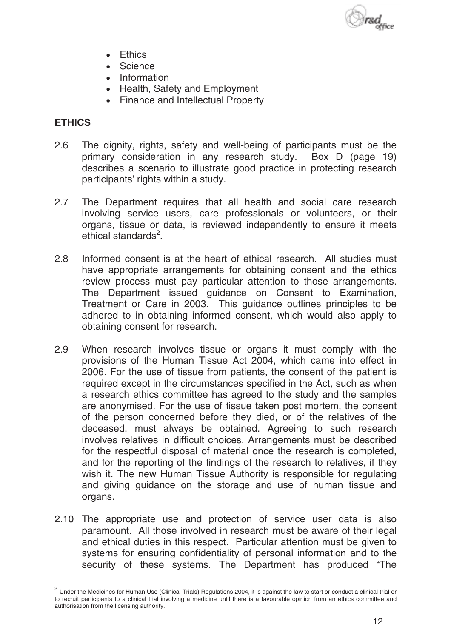

- Ethics
- Science
- Information
- Health, Safety and Employment
- Finance and Intellectual Property

## **ETHICS**

- 2.6 The dignity, rights, safety and well-being of participants must be the primary consideration in any research study. Box D (page 19) describes a scenario to illustrate good practice in protecting research participants' rights within a study.
- 2.7 The Department requires that all health and social care research involving service users, care professionals or volunteers, or their organs, tissue or data, is reviewed independently to ensure it meets ethical standards<sup>2</sup>.
- 2.8 Informed consent is at the heart of ethical research. All studies must have appropriate arrangements for obtaining consent and the ethics review process must pay particular attention to those arrangements. The Department issued guidance on Consent to Examination, Treatment or Care in 2003. This guidance outlines principles to be adhered to in obtaining informed consent, which would also apply to obtaining consent for research.
- 2.9 When research involves tissue or organs it must comply with the provisions of the Human Tissue Act 2004, which came into effect in 2006. For the use of tissue from patients, the consent of the patient is required except in the circumstances specified in the Act, such as when a research ethics committee has agreed to the study and the samples are anonymised. For the use of tissue taken post mortem, the consent of the person concerned before they died, or of the relatives of the deceased, must always be obtained. Agreeing to such research involves relatives in difficult choices. Arrangements must be described for the respectful disposal of material once the research is completed, and for the reporting of the findings of the research to relatives, if they wish it. The new Human Tissue Authority is responsible for regulating and giving guidance on the storage and use of human tissue and organs.
- 2.10 The appropriate use and protection of service user data is also paramount. All those involved in research must be aware of their legal and ethical duties in this respect. Particular attention must be given to systems for ensuring confidentiality of personal information and to the security of these systems. The Department has produced "The

 $^2$  Under the Medicines for Human Use (Clinical Trials) Regulations 2004, it is against the law to start or conduct a clinical trial or to recruit participants to a clinical trial involving a medicine until there is a favourable opinion from an ethics committee and authorisation from the licensing authority.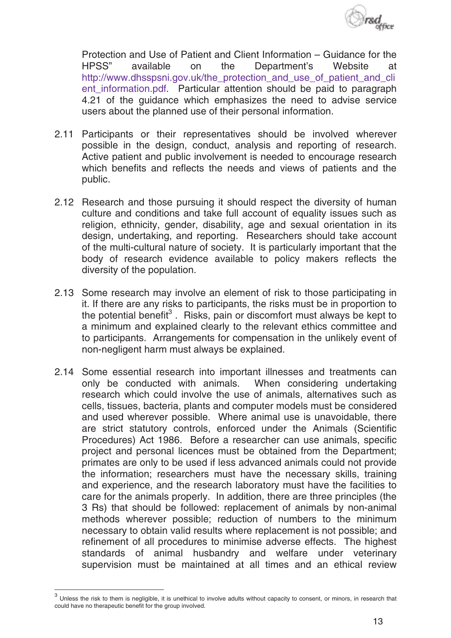

Protection and Use of Patient and Client Information – Guidance for the HPSS" available on the Department's Website at http://www.dhsspsni.gov.uk/the\_protection\_and\_use\_of\_patient\_and\_cli ent information.pdf. Particular attention should be paid to paragraph 4.21 of the guidance which emphasizes the need to advise service users about the planned use of their personal information.

- 2.11 Participants or their representatives should be involved wherever possible in the design, conduct, analysis and reporting of research. Active patient and public involvement is needed to encourage research which benefits and reflects the needs and views of patients and the public.
- 2.12 Research and those pursuing it should respect the diversity of human culture and conditions and take full account of equality issues such as religion, ethnicity, gender, disability, age and sexual orientation in its design, undertaking, and reporting. Researchers should take account of the multi-cultural nature of society. It is particularly important that the body of research evidence available to policy makers reflects the diversity of the population.
- 2.13 Some research may involve an element of risk to those participating in it. If there are any risks to participants, the risks must be in proportion to the potential benefit<sup>3</sup>. Risks, pain or discomfort must always be kept to a minimum and explained clearly to the relevant ethics committee and to participants. Arrangements for compensation in the unlikely event of non-negligent harm must always be explained.
- 2.14 Some essential research into important illnesses and treatments can only be conducted with animals. When considering undertaking research which could involve the use of animals, alternatives such as cells, tissues, bacteria, plants and computer models must be considered and used wherever possible. Where animal use is unavoidable, there are strict statutory controls, enforced under the Animals (Scientific Procedures) Act 1986. Before a researcher can use animals, specific project and personal licences must be obtained from the Department; primates are only to be used if less advanced animals could not provide the information; researchers must have the necessary skills, training and experience, and the research laboratory must have the facilities to care for the animals properly. In addition, there are three principles (the 3 Rs) that should be followed: replacement of animals by non-animal methods wherever possible; reduction of numbers to the minimum necessary to obtain valid results where replacement is not possible; and refinement of all procedures to minimise adverse effects. The highest standards of animal husbandry and welfare under veterinary supervision must be maintained at all times and an ethical review

 $^3$  Unless the risk to them is negligible, it is unethical to involve adults without capacity to consent, or minors, in research that could have no therapeutic benefit for the group involved.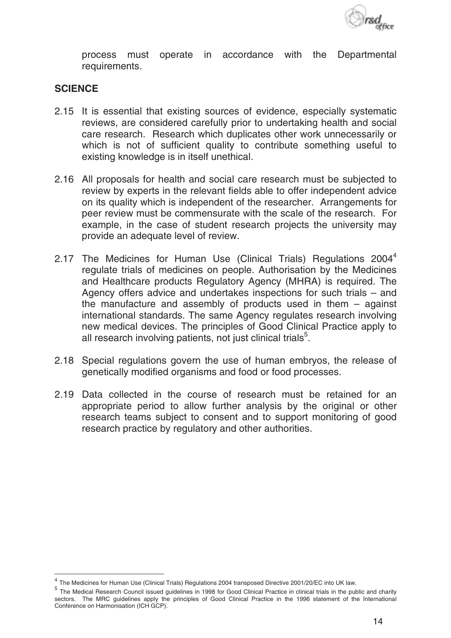

process must operate in accordance with the Departmental requirements.

## **SCIENCE**

- 2.15 It is essential that existing sources of evidence, especially systematic reviews, are considered carefully prior to undertaking health and social care research. Research which duplicates other work unnecessarily or which is not of sufficient quality to contribute something useful to existing knowledge is in itself unethical.
- 2.16 All proposals for health and social care research must be subjected to review by experts in the relevant fields able to offer independent advice on its quality which is independent of the researcher. Arrangements for peer review must be commensurate with the scale of the research. For example, in the case of student research projects the university may provide an adequate level of review.
- 2.17 The Medicines for Human Use (Clinical Trials) Regulations  $2004<sup>4</sup>$ regulate trials of medicines on people. Authorisation by the Medicines and Healthcare products Regulatory Agency (MHRA) is required. The Agency offers advice and undertakes inspections for such trials – and the manufacture and assembly of products used in them – against international standards. The same Agency regulates research involving new medical devices. The principles of Good Clinical Practice apply to all research involving patients, not just clinical trials $5$ .
- 2.18 Special regulations govern the use of human embryos, the release of genetically modified organisms and food or food processes.
- 2.19 Data collected in the course of research must be retained for an appropriate period to allow further analysis by the original or other research teams subject to consent and to support monitoring of good research practice by regulatory and other authorities.

<sup>&</sup>lt;sup>4</sup> The Medicines for Human Use (Clinical Trials) Regulations 2004 transposed Directive 2001/20/EC into UK law.

<sup>&</sup>lt;sup>5</sup> The Medical Research Council issued guidelines in 1998 for Good Clinical Practice in clinical trials in the public and charity sectors. The MRC guidelines apply the principles of Good Clinical Practice in the 1996 statement of the International Conference on Harmonisation (ICH GCP).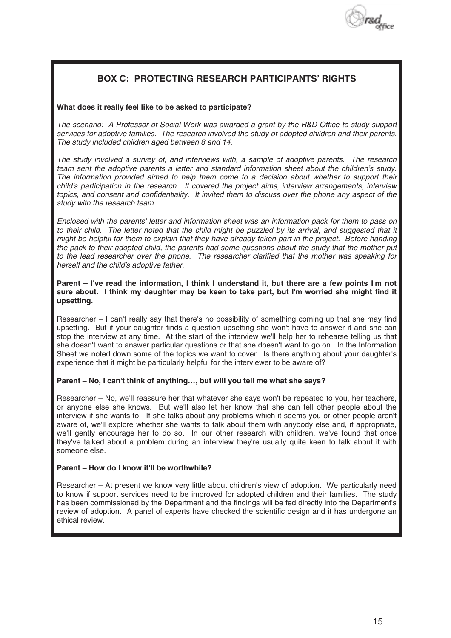

## **BOX C: PROTECTING RESEARCH PARTICIPANTS' RIGHTS**

#### **What does it really feel like to be asked to participate?**

The scenario: A Professor of Social Work was awarded a grant by the R&D Office to study support services for adoptive families. The research involved the study of adopted children and their parents. The study included children aged between 8 and 14.

The study involved a survey of, and interviews with, a sample of adoptive parents. The research team sent the adoptive parents a letter and standard information sheet about the children's study. The information provided aimed to help them come to a decision about whether to support their child's participation in the research. It covered the project aims, interview arrangements, interview topics, and consent and confidentiality. It invited them to discuss over the phone any aspect of the study with the research team.

Enclosed with the parents' letter and information sheet was an information pack for them to pass on to their child. The letter noted that the child might be puzzled by its arrival, and suggested that it might be helpful for them to explain that they have already taken part in the project. Before handing the pack to their adopted child, the parents had some questions about the study that the mother put to the lead researcher over the phone. The researcher clarified that the mother was speaking for herself and the child's adoptive father.

#### **Parent – I've read the information, I think I understand it, but there are a few points I'm not sure about. I think my daughter may be keen to take part, but I'm worried she might find it upsetting.**

Researcher – I can't really say that there's no possibility of something coming up that she may find upsetting. But if your daughter finds a question upsetting she won't have to answer it and she can stop the interview at any time. At the start of the interview we'll help her to rehearse telling us that she doesn't want to answer particular questions or that she doesn't want to go on. In the Information Sheet we noted down some of the topics we want to cover. Is there anything about your daughter's experience that it might be particularly helpful for the interviewer to be aware of?

#### **Parent – No, I can't think of anything…, but will you tell me what she says?**

Researcher – No, we'll reassure her that whatever she says won't be repeated to you, her teachers, or anyone else she knows. But we'll also let her know that she can tell other people about the interview if she wants to. If she talks about any problems which it seems you or other people aren't aware of, we'll explore whether she wants to talk about them with anybody else and, if appropriate, we'll gently encourage her to do so. In our other research with children, we've found that once they've talked about a problem during an interview they're usually quite keen to talk about it with someone else.

#### **Parent – How do I know it'll be worthwhile?**

Researcher – At present we know very little about children's view of adoption. We particularly need to know if support services need to be improved for adopted children and their families. The study has been commissioned by the Department and the findings will be fed directly into the Department's review of adoption. A panel of experts have checked the scientific design and it has undergone an ethical review.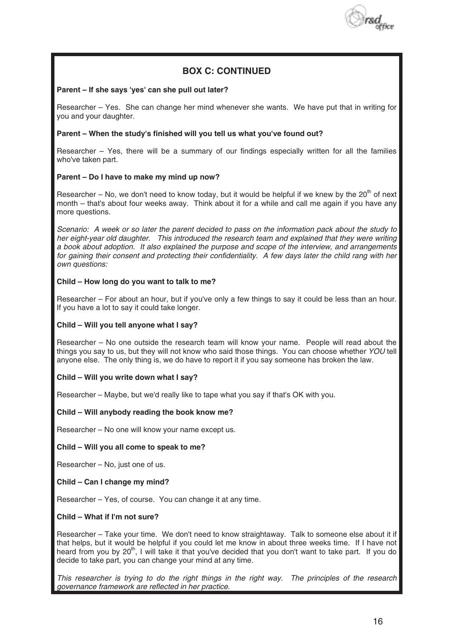

### **BOX C: CONTINUED**

#### **Parent – If she says 'yes' can she pull out later?**

Researcher – Yes. She can change her mind whenever she wants. We have put that in writing for you and your daughter.

#### **Parent – When the study's finished will you tell us what you've found out?**

Researcher – Yes, there will be a summary of our findings especially written for all the families who've taken part.

#### **Parent – Do I have to make my mind up now?**

Researcher – No, we don't need to know today, but it would be helpful if we knew by the  $20<sup>th</sup>$  of next month – that's about four weeks away. Think about it for a while and call me again if you have any more questions.

Scenario: A week or so later the parent decided to pass on the information pack about the study to her eight-year old daughter. This introduced the research team and explained that they were writing a book about adoption. It also explained the purpose and scope of the interview, and arrangements for gaining their consent and protecting their confidentiality. A few days later the child rang with her own questions:

#### **Child – How long do you want to talk to me?**

Researcher – For about an hour, but if you've only a few things to say it could be less than an hour. If you have a lot to say it could take longer.

#### **Child – Will you tell anyone what I say?**

Researcher – No one outside the research team will know your name. People will read about the things you say to us, but they will not know who said those things. You can choose whether YOU tell anyone else. The only thing is, we do have to report it if you say someone has broken the law.

#### **Child – Will you write down what I say?**

Researcher – Maybe, but we'd really like to tape what you say if that's OK with you.

#### **Child – Will anybody reading the book know me?**

Researcher – No one will know your name except us.

#### **Child – Will you all come to speak to me?**

Researcher – No, just one of us.

#### **Child – Can I change my mind?**

Researcher – Yes, of course. You can change it at any time.

#### **Child – What if I'm not sure?**

Researcher – Take your time. We don't need to know straightaway. Talk to someone else about it if that helps, but it would be helpful if you could let me know in about three weeks time. If I have not heard from you by  $20<sup>th</sup>$ , I will take it that you've decided that you don't want to take part. If you do decide to take part, you can change your mind at any time.

This researcher is trying to do the right things in the right way. The principles of the research governance framework are reflected in her practice.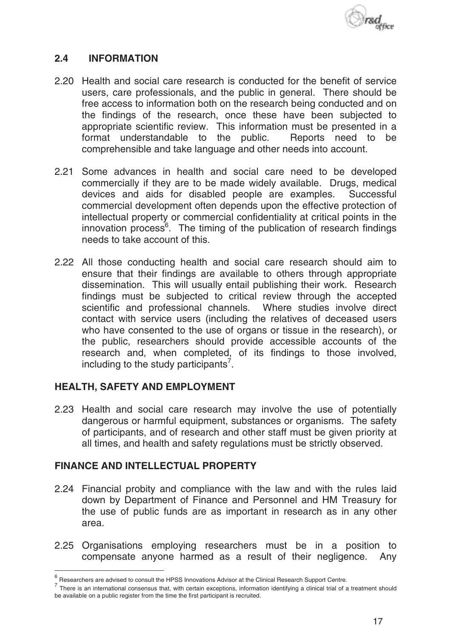

## **2.4 INFORMATION**

- 2.20 Health and social care research is conducted for the benefit of service users, care professionals, and the public in general. There should be free access to information both on the research being conducted and on the findings of the research, once these have been subjected to appropriate scientific review. This information must be presented in a format understandable to the public. Reports need to be comprehensible and take language and other needs into account.
- 2.21 Some advances in health and social care need to be developed commercially if they are to be made widely available. Drugs, medical devices and aids for disabled people are examples. Successful commercial development often depends upon the effective protection of intellectual property or commercial confidentiality at critical points in the innovation process<sup>6</sup>. The timing of the publication of research findings needs to take account of this.
- 2.22 All those conducting health and social care research should aim to ensure that their findings are available to others through appropriate dissemination. This will usually entail publishing their work. Research findings must be subjected to critical review through the accepted scientific and professional channels. Where studies involve direct contact with service users (including the relatives of deceased users who have consented to the use of organs or tissue in the research), or the public, researchers should provide accessible accounts of the research and, when completed, of its findings to those involved, including to the study participants<sup>7</sup>.

## **HEALTH, SAFETY AND EMPLOYMENT**

2.23 Health and social care research may involve the use of potentially dangerous or harmful equipment, substances or organisms. The safety of participants, and of research and other staff must be given priority at all times, and health and safety regulations must be strictly observed.

## **FINANCE AND INTELLECTUAL PROPERTY**

- 2.24 Financial probity and compliance with the law and with the rules laid down by Department of Finance and Personnel and HM Treasury for the use of public funds are as important in research as in any other area.
- 2.25 Organisations employing researchers must be in a position to compensate anyone harmed as a result of their negligence. Any

 $^6$  Researchers are advised to consult the HPSS Innovations Advisor at the Clinical Research Support Centre.

 $^7$  There is an international consensus that, with certain exceptions, information identifying a clinical trial of a treatment should be available on a public register from the time the first participant is recruited.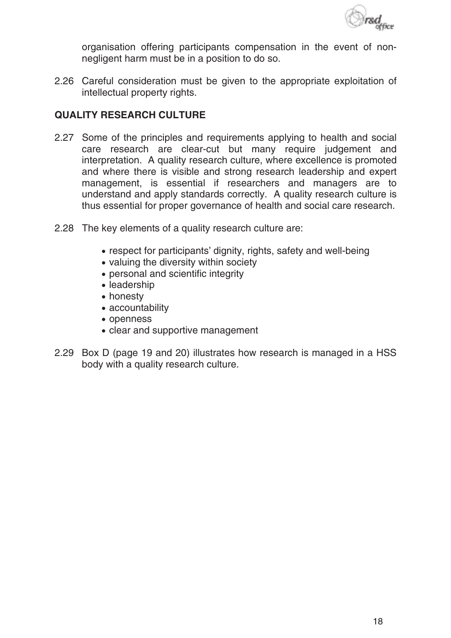

organisation offering participants compensation in the event of nonnegligent harm must be in a position to do so.

2.26 Careful consideration must be given to the appropriate exploitation of intellectual property rights.

## **QUALITY RESEARCH CULTURE**

- 2.27 Some of the principles and requirements applying to health and social care research are clear-cut but many require judgement and interpretation. A quality research culture, where excellence is promoted and where there is visible and strong research leadership and expert management, is essential if researchers and managers are to understand and apply standards correctly. A quality research culture is thus essential for proper governance of health and social care research.
- 2.28 The key elements of a quality research culture are:
	- respect for participants' dignity, rights, safety and well-being
	- valuing the diversity within society
	- personal and scientific integrity
	- leadership
	- honesty
	- accountability
	- openness
	- clear and supportive management
- 2.29 Box D (page 19 and 20) illustrates how research is managed in a HSS body with a quality research culture.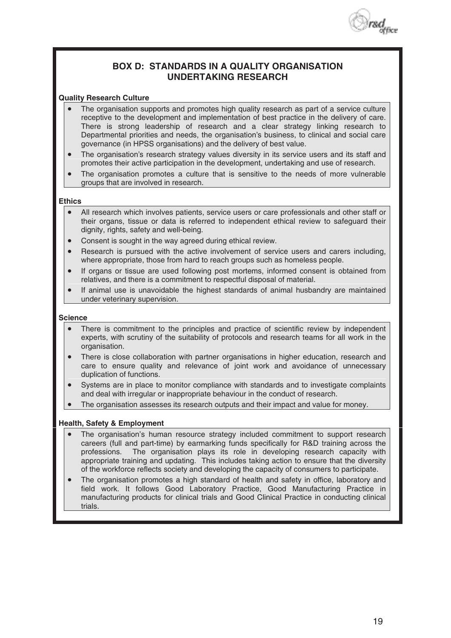

#### **BOX D: STANDARDS IN A QUALITY ORGANISATION UNDERTAKING RESEARCH**

#### **Quality Research Culture**

- The organisation supports and promotes high quality research as part of a service culture receptive to the development and implementation of best practice in the delivery of care. There is strong leadership of research and a clear strategy linking research to Departmental priorities and needs, the organisation's business, to clinical and social care governance (in HPSS organisations) and the delivery of best value.
- The organisation's research strategy values diversity in its service users and its staff and promotes their active participation in the development, undertaking and use of research.
- The organisation promotes a culture that is sensitive to the needs of more vulnerable groups that are involved in research.

#### **Ethics**

- All research which involves patients, service users or care professionals and other staff or their organs, tissue or data is referred to independent ethical review to safeguard their dignity, rights, safety and well-being.
- Consent is sought in the way agreed during ethical review.
- Research is pursued with the active involvement of service users and carers including, where appropriate, those from hard to reach groups such as homeless people.
- If organs or tissue are used following post mortems, informed consent is obtained from relatives, and there is a commitment to respectful disposal of material.
- If animal use is unavoidable the highest standards of animal husbandry are maintained under veterinary supervision.

#### **Science**

- There is commitment to the principles and practice of scientific review by independent experts, with scrutiny of the suitability of protocols and research teams for all work in the organisation.
- There is close collaboration with partner organisations in higher education, research and care to ensure quality and relevance of joint work and avoidance of unnecessary duplication of functions.
- Systems are in place to monitor compliance with standards and to investigate complaints and deal with irregular or inappropriate behaviour in the conduct of research.
- The organisation assesses its research outputs and their impact and value for money.

#### **Health, Safety & Employment**

- The organisation's human resource strategy included commitment to support research careers (full and part-time) by earmarking funds specifically for R&D training across the professions. The organisation plays its role in developing research capacity with appropriate training and updating. This includes taking action to ensure that the diversity of the workforce reflects society and developing the capacity of consumers to participate.
- The organisation promotes a high standard of health and safety in office, laboratory and field work. It follows Good Laboratory Practice, Good Manufacturing Practice in manufacturing products for clinical trials and Good Clinical Practice in conducting clinical trials.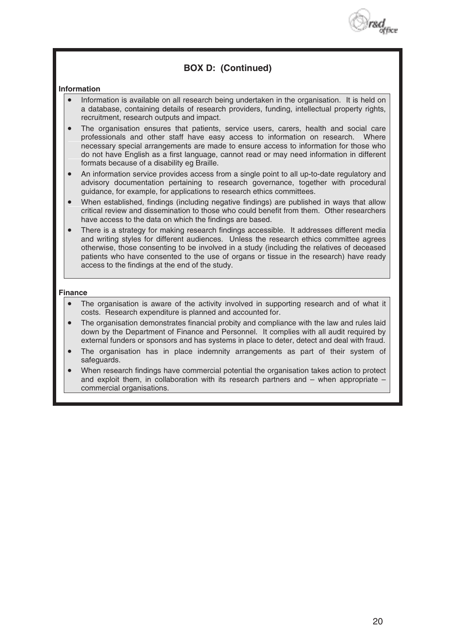

## **BOX D: (Continued)**

#### **Information**

- Information is available on all research being undertaken in the organisation. It is held on a database, containing details of research providers, funding, intellectual property rights, recruitment, research outputs and impact.
- The organisation ensures that patients, service users, carers, health and social care professionals and other staff have easy access to information on research. Where necessary special arrangements are made to ensure access to information for those who do not have English as a first language, cannot read or may need information in different formats because of a disability eg Braille.
- An information service provides access from a single point to all up-to-date regulatory and advisory documentation pertaining to research governance, together with procedural guidance, for example, for applications to research ethics committees.
- When established, findings (including negative findings) are published in ways that allow critical review and dissemination to those who could benefit from them. Other researchers have access to the data on which the findings are based.
- There is a strategy for making research findings accessible. It addresses different media and writing styles for different audiences. Unless the research ethics committee agrees otherwise, those consenting to be involved in a study (including the relatives of deceased patients who have consented to the use of organs or tissue in the research) have ready access to the findings at the end of the study.

#### **Finance**

- The organisation is aware of the activity involved in supporting research and of what it costs. Research expenditure is planned and accounted for.
- The organisation demonstrates financial probity and compliance with the law and rules laid down by the Department of Finance and Personnel. It complies with all audit required by external funders or sponsors and has systems in place to deter, detect and deal with fraud.
- The organisation has in place indemnity arrangements as part of their system of safeguards.
- When research findings have commercial potential the organisation takes action to protect and exploit them, in collaboration with its research partners and  $-$  when appropriate  $\cdot$ commercial organisations.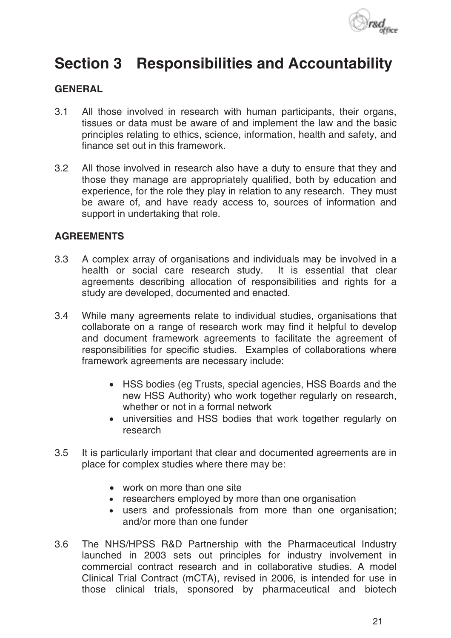

## **Section 3 Responsibilities and Accountability**

## **GENERAL**

- 3.1 All those involved in research with human participants, their organs, tissues or data must be aware of and implement the law and the basic principles relating to ethics, science, information, health and safety, and finance set out in this framework.
- 3.2 All those involved in research also have a duty to ensure that they and those they manage are appropriately qualified, both by education and experience, for the role they play in relation to any research. They must be aware of, and have ready access to, sources of information and support in undertaking that role.

## **AGREEMENTS**

- 3.3 A complex array of organisations and individuals may be involved in a health or social care research study. It is essential that clear agreements describing allocation of responsibilities and rights for a study are developed, documented and enacted.
- 3.4 While many agreements relate to individual studies, organisations that collaborate on a range of research work may find it helpful to develop and document framework agreements to facilitate the agreement of responsibilities for specific studies. Examples of collaborations where framework agreements are necessary include:
	- HSS bodies (eg Trusts, special agencies, HSS Boards and the new HSS Authority) who work together regularly on research, whether or not in a formal network
	- universities and HSS bodies that work together regularly on research
- 3.5 It is particularly important that clear and documented agreements are in place for complex studies where there may be:
	- work on more than one site
	- researchers employed by more than one organisation
	- users and professionals from more than one organisation; and/or more than one funder
- 3.6 The NHS/HPSS R&D Partnership with the Pharmaceutical Industry launched in 2003 sets out principles for industry involvement in commercial contract research and in collaborative studies. A model Clinical Trial Contract (mCTA), revised in 2006, is intended for use in those clinical trials, sponsored by pharmaceutical and biotech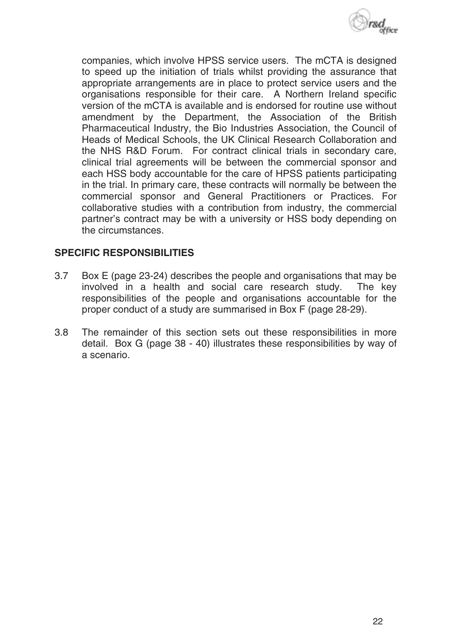

companies, which involve HPSS service users. The mCTA is designed to speed up the initiation of trials whilst providing the assurance that appropriate arrangements are in place to protect service users and the organisations responsible for their care. A Northern Ireland specific version of the mCTA is available and is endorsed for routine use without amendment by the Department, the Association of the British Pharmaceutical Industry, the Bio Industries Association, the Council of Heads of Medical Schools, the UK Clinical Research Collaboration and the NHS R&D Forum. For contract clinical trials in secondary care, clinical trial agreements will be between the commercial sponsor and each HSS body accountable for the care of HPSS patients participating in the trial. In primary care, these contracts will normally be between the commercial sponsor and General Practitioners or Practices. For collaborative studies with a contribution from industry, the commercial partner's contract may be with a university or HSS body depending on the circumstances.

### **SPECIFIC RESPONSIBILITIES**

- 3.7 Box E (page 23-24) describes the people and organisations that may be involved in a health and social care research study. The key responsibilities of the people and organisations accountable for the proper conduct of a study are summarised in Box F (page 28-29).
- 3.8 The remainder of this section sets out these responsibilities in more detail. Box G (page 38 - 40) illustrates these responsibilities by way of a scenario.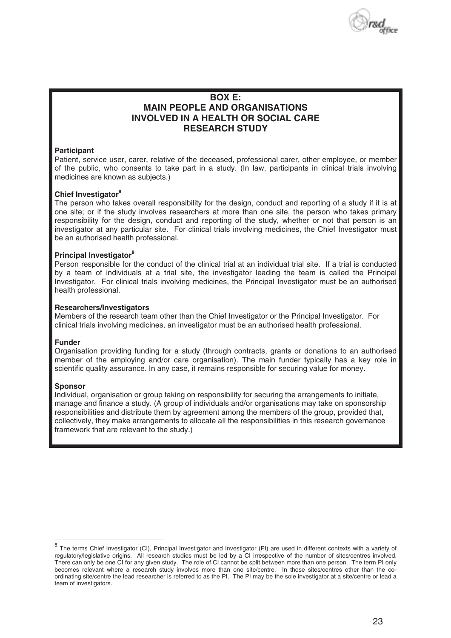

#### **BOX E: MAIN PEOPLE AND ORGANISATIONS INVOLVED IN A HEALTH OR SOCIAL CARE RESEARCH STUDY**

#### **Participant**

Patient, service user, carer, relative of the deceased, professional carer, other employee, or member of the public, who consents to take part in a study. (In law, participants in clinical trials involving medicines are known as subjects.)

#### **Chief Investigator<sup>8</sup>**

The person who takes overall responsibility for the design, conduct and reporting of a study if it is at one site; or if the study involves researchers at more than one site, the person who takes primary responsibility for the design, conduct and reporting of the study, whether or not that person is an investigator at any particular site. For clinical trials involving medicines, the Chief Investigator must be an authorised health professional.

#### **Principal Investigator<sup>8</sup>**

Person responsible for the conduct of the clinical trial at an individual trial site. If a trial is conducted by a team of individuals at a trial site, the investigator leading the team is called the Principal Investigator. For clinical trials involving medicines, the Principal Investigator must be an authorised health professional.

#### **Researchers/Investigators**

Members of the research team other than the Chief Investigator or the Principal Investigator. For clinical trials involving medicines, an investigator must be an authorised health professional.

#### **Funder**

Organisation providing funding for a study (through contracts, grants or donations to an authorised member of the employing and/or care organisation). The main funder typically has a key role in scientific quality assurance. In any case, it remains responsible for securing value for money.

#### **Sponsor**

 $\overline{a}$ 

Individual, organisation or group taking on responsibility for securing the arrangements to initiate, manage and finance a study. (A group of individuals and/or organisations may take on sponsorship responsibilities and distribute them by agreement among the members of the group, provided that, collectively, they make arrangements to allocate all the responsibilities in this research governance framework that are relevant to the study.)

<sup>&</sup>lt;sup>8</sup> The terms Chief Investigator (CI), Principal Investigator and Investigator (PI) are used in different contexts with a variety of regulatory/legislative origins. All research studies must be led by a CI irrespective of the number of sites/centres involved. There can only be one CI for any given study. The role of CI cannot be split between more than one person. The term PI only becomes relevant where a research study involves more than one site/centre. In those sites/centres other than the coordinating site/centre the lead researcher is referred to as the PI. The PI may be the sole investigator at a site/centre or lead a team of investigators.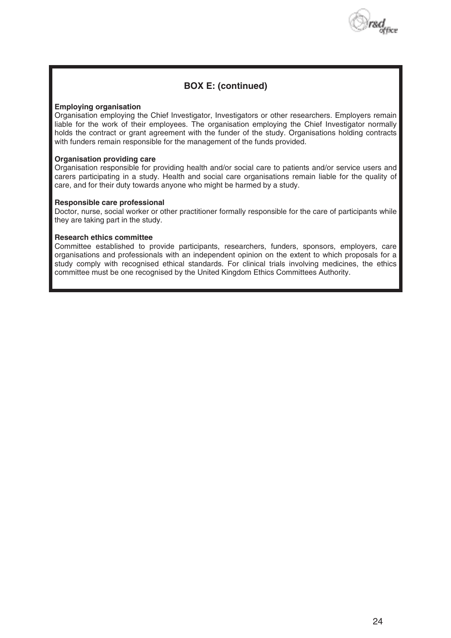

### **BOX E: (continued)**

#### **Employing organisation**

Organisation employing the Chief Investigator, Investigators or other researchers. Employers remain liable for the work of their employees. The organisation employing the Chief Investigator normally holds the contract or grant agreement with the funder of the study. Organisations holding contracts with funders remain responsible for the management of the funds provided.

#### **Organisation providing care**

Organisation responsible for providing health and/or social care to patients and/or service users and carers participating in a study. Health and social care organisations remain liable for the quality of care, and for their duty towards anyone who might be harmed by a study.

#### **Responsible care professional**

Doctor, nurse, social worker or other practitioner formally responsible for the care of participants while they are taking part in the study.

#### **Research ethics committee**

Committee established to provide participants, researchers, funders, sponsors, employers, care organisations and professionals with an independent opinion on the extent to which proposals for a study comply with recognised ethical standards. For clinical trials involving medicines, the ethics committee must be one recognised by the United Kingdom Ethics Committees Authority.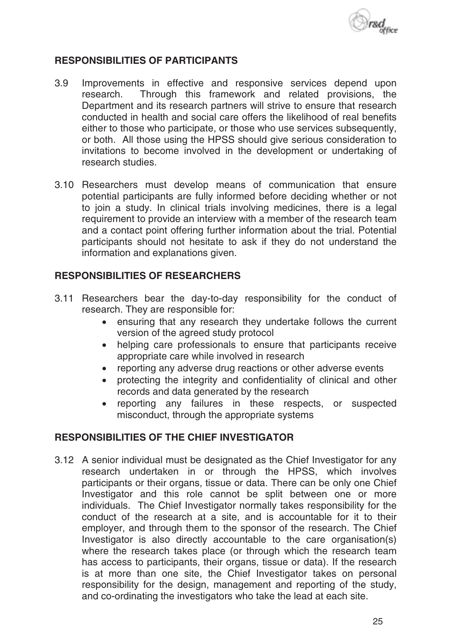

## **RESPONSIBILITIES OF PARTICIPANTS**

- 3.9 Improvements in effective and responsive services depend upon research. Through this framework and related provisions, the Department and its research partners will strive to ensure that research conducted in health and social care offers the likelihood of real benefits either to those who participate, or those who use services subsequently, or both. All those using the HPSS should give serious consideration to invitations to become involved in the development or undertaking of research studies.
- 3.10 Researchers must develop means of communication that ensure potential participants are fully informed before deciding whether or not to join a study. In clinical trials involving medicines, there is a legal requirement to provide an interview with a member of the research team and a contact point offering further information about the trial. Potential participants should not hesitate to ask if they do not understand the information and explanations given.

## **RESPONSIBILITIES OF RESEARCHERS**

- 3.11 Researchers bear the day-to-day responsibility for the conduct of research. They are responsible for:
	- ensuring that any research they undertake follows the current version of the agreed study protocol
	- helping care professionals to ensure that participants receive appropriate care while involved in research
	- reporting any adverse drug reactions or other adverse events
	- protecting the integrity and confidentiality of clinical and other records and data generated by the research
	- reporting any failures in these respects, or suspected misconduct, through the appropriate systems

### **RESPONSIBILITIES OF THE CHIEF INVESTIGATOR**

3.12 A senior individual must be designated as the Chief Investigator for any research undertaken in or through the HPSS, which involves participants or their organs, tissue or data. There can be only one Chief Investigator and this role cannot be split between one or more individuals. The Chief Investigator normally takes responsibility for the conduct of the research at a site, and is accountable for it to their employer, and through them to the sponsor of the research. The Chief Investigator is also directly accountable to the care organisation(s) where the research takes place (or through which the research team has access to participants, their organs, tissue or data). If the research is at more than one site, the Chief Investigator takes on personal responsibility for the design, management and reporting of the study, and co-ordinating the investigators who take the lead at each site.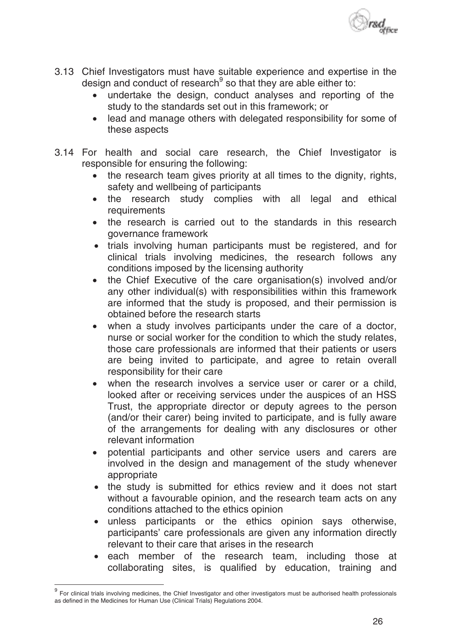

- 3.13 Chief Investigators must have suitable experience and expertise in the design and conduct of research<sup>9</sup> so that they are able either to:
	- study to the standards set out in this framework; or undertake the design, conduct analyses and reporting of the
	- lead and manage others with delegated responsibility for some of these aspects
- 3.14 For health and social care research, the Chief Investigator is responsible for ensuring the following:
	- the research team gives priority at all times to the dignity, rights, safety and wellbeing of participants
	- the research study complies with all legal and ethical requirements
	- the research is carried out to the standards in this research governance framework
	- trials involving human participants must be registered, and for clinical trials involving medicines, the research follows any conditions imposed by the licensing authority
	- the Chief Executive of the care organisation(s) involved and/or any other individual(s) with responsibilities within this framework are informed that the study is proposed, and their permission is obtained before the research starts
	- when a study involves participants under the care of a doctor, nurse or social worker for the condition to which the study relates, those care professionals are informed that their patients or users are being invited to participate, and agree to retain overall responsibility for their care
	- when the research involves a service user or carer or a child, looked after or receiving services under the auspices of an HSS Trust, the appropriate director or deputy agrees to the person (and/or their carer) being invited to participate, and is fully aware of the arrangements for dealing with any disclosures or other relevant information
	- potential participants and other service users and carers are involved in the design and management of the study whenever appropriate
	- the study is submitted for ethics review and it does not start without a favourable opinion, and the research team acts on any conditions attached to the ethics opinion
	- unless participants or the ethics opinion says otherwise, participants' care professionals are given any information directly relevant to their care that arises in the research
	- each member of the research team, including those at collaborating sites, is qualified by education, training and

<sup>&</sup>lt;sup>9</sup> For clinical trials involving medicines, the Chief Investigator and other investigators must be authorised health professionals as defined in the Medicines for Human Use (Clinical Trials) Regulations 2004.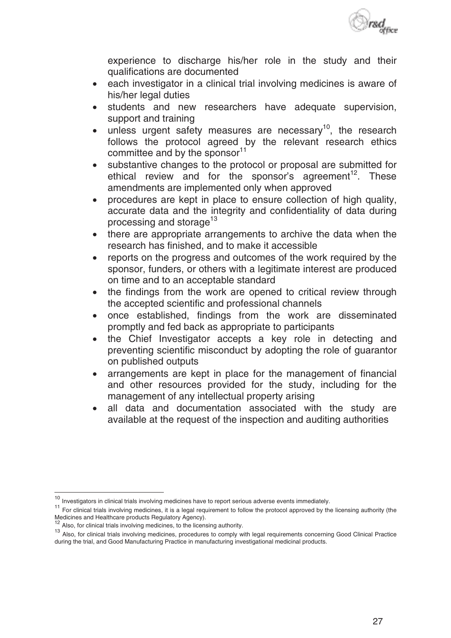

experience to discharge his/her role in the study and their qualifications are documented

- each investigator in a clinical trial involving medicines is aware of his/her legal duties
- students and new researchers have adequate supervision, support and training
- $\bullet$  unless urgent safety measures are necessary<sup>10</sup>, the research follows the protocol agreed by the relevant research ethics committee and by the sponsor $11$
- substantive changes to the protocol or proposal are submitted for ethical review and for the sponsor's agreement<sup>12</sup>. These amendments are implemented only when approved
- procedures are kept in place to ensure collection of high quality, accurate data and the integrity and confidentiality of data during processing and storage<sup>13</sup>
- there are appropriate arrangements to archive the data when the research has finished, and to make it accessible
- reports on the progress and outcomes of the work required by the sponsor, funders, or others with a legitimate interest are produced on time and to an acceptable standard
- the findings from the work are opened to critical review through the accepted scientific and professional channels
- once established, findings from the work are disseminated promptly and fed back as appropriate to participants
- the Chief Investigator accepts a key role in detecting and preventing scientific misconduct by adopting the role of guarantor on published outputs
- arrangements are kept in place for the management of financial and other resources provided for the study, including for the management of any intellectual property arising
- all data and documentation associated with the study are available at the request of the inspection and auditing authorities

<sup>&</sup>lt;sup>10</sup> Investigators in clinical trials involving medicines have to report serious adverse events immediately.

<sup>&</sup>lt;sup>11</sup> For clinical trials involving medicines, it is a legal requirement to follow the protocol approved by the licensing authority (the Medicines and Healthcare products Regulatory Agency).

Also, for clinical trials involving medicines, to the licensing authority.

<sup>13</sup> Also, for clinical trials involving medicines, procedures to comply with legal requirements concerning Good Clinical Practice during the trial, and Good Manufacturing Practice in manufacturing investigational medicinal products.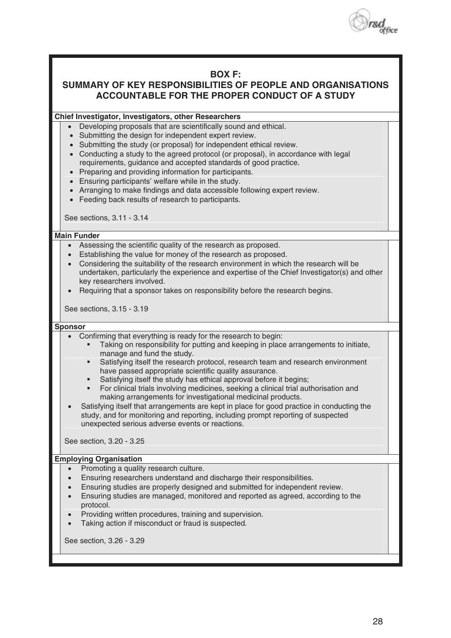### **BOX F:**

### **SUMMARY OF KEY RESPONSIBILITIES OF PEOPLE AND ORGANISATIONS ACCOUNTABLE FOR THE PROPER CONDUCT OF A STUDY**

#### **Chief Investigator, Investigators, other Researchers**

- Developing proposals that are scientifically sound and ethical.
- Submitting the design for independent expert review.
- Submitting the study (or proposal) for independent ethical review.
- Conducting a study to the agreed protocol (or proposal), in accordance with legal requirements, guidance and accepted standards of good practice.
- Preparing and providing information for participants.
- Ensuring participants' welfare while in the study.
- Arranging to make findings and data accessible following expert review.
- Feeding back results of research to participants.

See sections, 3.11 - 3.14

#### **Main Funder**

- Assessing the scientific quality of the research as proposed.
- **Establishing the value for money of the research as proposed.**
- x Considering the suitability of the research environment in which the research will be undertaken, particularly the experience and expertise of the Chief Investigator(s) and other key researchers involved.
- Requiring that a sponsor takes on responsibility before the research begins.

See sections, 3.15 - 3.19

#### **Sponsor**

- Confirming that everything is ready for the research to begin:
	- Taking on responsibility for putting and keeping in place arrangements to initiate, manage and fund the study.
	- Satisfying itself the research protocol, research team and research environment have passed appropriate scientific quality assurance.
	- Satisfying itself the study has ethical approval before it begins;
	- For clinical trials involving medicines, seeking a clinical trial authorisation and making arrangements for investigational medicinal products.
- Satisfying itself that arrangements are kept in place for good practice in conducting the study, and for monitoring and reporting, including prompt reporting of suspected unexpected serious adverse events or reactions.

See section, 3.20 - 3.25

#### **Employing Organisation**

- Promoting a quality research culture.
- x Ensuring researchers understand and discharge their responsibilities.
- Ensuring studies are properly designed and submitted for independent review.
- Ensuring studies are managed, monitored and reported as agreed, according to the protocol.
- Providing written procedures, training and supervision.
- Taking action if misconduct or fraud is suspected.

See section, 3.26 - 3.29

Srød<sub>sfræ</sub>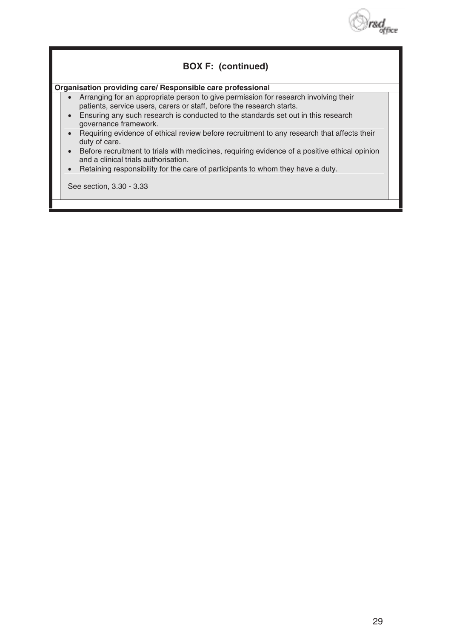

## **BOX F: (continued)**

#### **Organisation providing care/ Responsible care professional**

- Arranging for an appropriate person to give permission for research involving their patients, service users, carers or staff, before the research starts.
- Ensuring any such research is conducted to the standards set out in this research governance framework.
- Requiring evidence of ethical review before recruitment to any research that affects their duty of care.
- Before recruitment to trials with medicines, requiring evidence of a positive ethical opinion and a clinical trials authorisation.
- Retaining responsibility for the care of participants to whom they have a duty.

See section, 3.30 - 3.33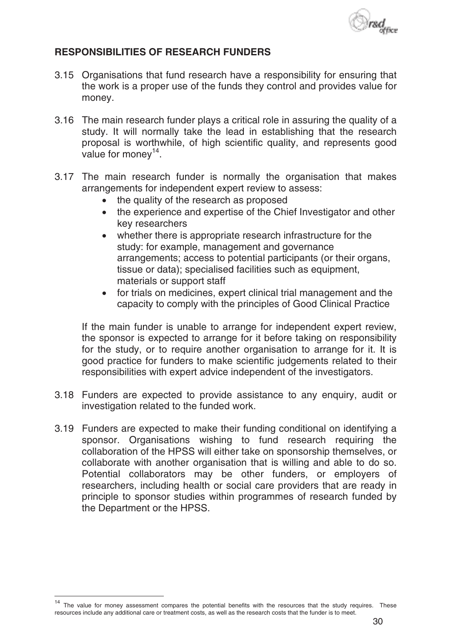

## **RESPONSIBILITIES OF RESEARCH FUNDERS**

- 3.15 Organisations that fund research have a responsibility for ensuring that the work is a proper use of the funds they control and provides value for money.
- 3.16 The main research funder plays a critical role in assuring the quality of a study. It will normally take the lead in establishing that the research proposal is worthwhile, of high scientific quality, and represents good value for money $14$ .
- 3.17 The main research funder is normally the organisation that makes arrangements for independent expert review to assess:
	- the quality of the research as proposed
	- the experience and expertise of the Chief Investigator and other key researchers
	- whether there is appropriate research infrastructure for the study: for example, management and governance arrangements; access to potential participants (or their organs, tissue or data); specialised facilities such as equipment, materials or support staff
	- for trials on medicines, expert clinical trial management and the capacity to comply with the principles of Good Clinical Practice

If the main funder is unable to arrange for independent expert review, the sponsor is expected to arrange for it before taking on responsibility for the study, or to require another organisation to arrange for it. It is good practice for funders to make scientific judgements related to their responsibilities with expert advice independent of the investigators.

- 3.18 Funders are expected to provide assistance to any enquiry, audit or investigation related to the funded work.
- 3.19 Funders are expected to make their funding conditional on identifying a sponsor. Organisations wishing to fund research requiring the collaboration of the HPSS will either take on sponsorship themselves, or collaborate with another organisation that is willing and able to do so. Potential collaborators may be other funders, or employers of researchers, including health or social care providers that are ready in principle to sponsor studies within programmes of research funded by the Department or the HPSS.

<sup>&</sup>lt;sup>14</sup> The value for money assessment compares the potential benefits with the resources that the study requires. These resources include any additional care or treatment costs, as well as the research costs that the funder is to meet.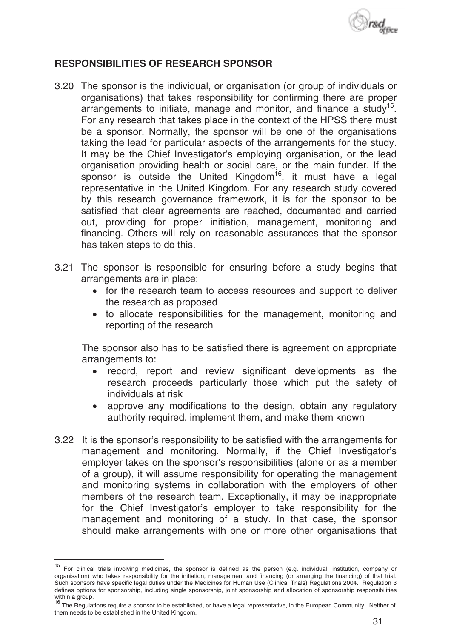

## **RESPONSIBILITIES OF RESEARCH SPONSOR**

- 3.20 The sponsor is the individual, or organisation (or group of individuals or organisations) that takes responsibility for confirming there are proper arrangements to initiate, manage and monitor, and finance a study<sup>15</sup>. For any research that takes place in the context of the HPSS there must be a sponsor. Normally, the sponsor will be one of the organisations taking the lead for particular aspects of the arrangements for the study. It may be the Chief Investigator's employing organisation, or the lead organisation providing health or social care, or the main funder. If the sponsor is outside the United Kingdom<sup>16</sup>, it must have a legal representative in the United Kingdom. For any research study covered by this research governance framework, it is for the sponsor to be satisfied that clear agreements are reached, documented and carried out, providing for proper initiation, management, monitoring and financing. Others will rely on reasonable assurances that the sponsor has taken steps to do this.
- 3.21 The sponsor is responsible for ensuring before a study begins that arrangements are in place:
	- for the research team to access resources and support to deliver the research as proposed
	- to allocate responsibilities for the management, monitoring and reporting of the research

The sponsor also has to be satisfied there is agreement on appropriate arrangements to:

- record, report and review significant developments as the research proceeds particularly those which put the safety of individuals at risk
- approve any modifications to the design, obtain any regulatory authority required, implement them, and make them known
- 3.22 It is the sponsor's responsibility to be satisfied with the arrangements for management and monitoring. Normally, if the Chief Investigator's employer takes on the sponsor's responsibilities (alone or as a member of a group), it will assume responsibility for operating the management and monitoring systems in collaboration with the employers of other members of the research team. Exceptionally, it may be inappropriate for the Chief Investigator's employer to take responsibility for the management and monitoring of a study. In that case, the sponsor should make arrangements with one or more other organisations that

<sup>&</sup>lt;sup>15</sup> For clinical trials involving medicines, the sponsor is defined as the person (e.g. individual, institution, company or organisation) who takes responsibility for the initiation, management and financing (or arranging the financing) of that trial. Such sponsors have specific legal duties under the Medicines for Human Use (Clinical Trials) Regulations 2004. Regulation 3 defines options for sponsorship, including single sponsorship, joint sponsorship and allocation of sponsorship responsibilities within a group.

<sup>&</sup>lt;sup>16</sup> The Regulations require a sponsor to be established, or have a legal representative, in the European Community. Neither of them needs to be established in the United Kingdom.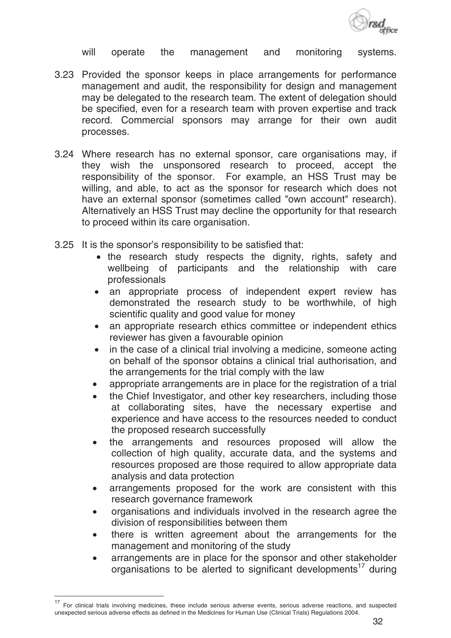

will operate the management and monitoring systems.

- 3.23 Provided the sponsor keeps in place arrangements for performance management and audit, the responsibility for design and management may be delegated to the research team. The extent of delegation should be specified, even for a research team with proven expertise and track record. Commercial sponsors may arrange for their own audit processes.
- 3.24 Where research has no external sponsor, care organisations may, if they wish the unsponsored research to proceed, accept the responsibility of the sponsor. For example, an HSS Trust may be willing, and able, to act as the sponsor for research which does not have an external sponsor (sometimes called "own account" research). Alternatively an HSS Trust may decline the opportunity for that research to proceed within its care organisation.
- 3.25 It is the sponsor's responsibility to be satisfied that:
	- the research study respects the dignity, rights, safety and wellbeing of participants and the relationship with care professionals
	- an appropriate process of independent expert review has demonstrated the research study to be worthwhile, of high scientific quality and good value for money
	- an appropriate research ethics committee or independent ethics reviewer has given a favourable opinion
	- in the case of a clinical trial involving a medicine, someone acting on behalf of the sponsor obtains a clinical trial authorisation, and the arrangements for the trial comply with the law
	- appropriate arrangements are in place for the registration of a trial
	- the Chief Investigator, and other key researchers, including those at collaborating sites, have the necessary expertise and experience and have access to the resources needed to conduct the proposed research successfully
	- the arrangements and resources proposed will allow the collection of high quality, accurate data, and the systems and resources proposed are those required to allow appropriate data analysis and data protection
	- arrangements proposed for the work are consistent with this research governance framework
	- organisations and individuals involved in the research agree the division of responsibilities between them
	- there is written agreement about the arrangements for the management and monitoring of the study
	- arrangements are in place for the sponsor and other stakeholder organisations to be alerted to significant developments<sup>17</sup> during

<sup>&</sup>lt;sup>17</sup> For clinical trials involving medicines, these include serious adverse events, serious adverse reactions, and suspected unexpected serious adverse effects as defined in the Medicines for Human Use (Clinical Trials) Regulations 2004.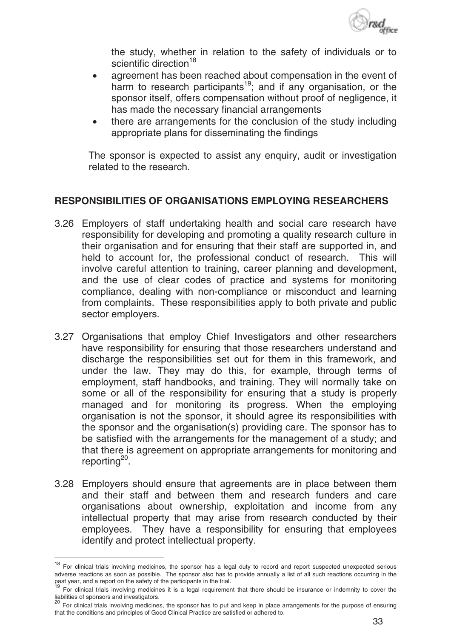

the study, whether in relation to the safety of individuals or to scientific direction<sup>18</sup>

- agreement has been reached about compensation in the event of harm to research participants<sup>19</sup>; and if any organisation, or the sponsor itself, offers compensation without proof of negligence, it has made the necessary financial arrangements
- there are arrangements for the conclusion of the study including appropriate plans for disseminating the findings

The sponsor is expected to assist any enquiry, audit or investigation related to the research.

## **RESPONSIBILITIES OF ORGANISATIONS EMPLOYING RESEARCHERS**

- 3.26 Employers of staff undertaking health and social care research have responsibility for developing and promoting a quality research culture in their organisation and for ensuring that their staff are supported in, and held to account for, the professional conduct of research. This will involve careful attention to training, career planning and development, and the use of clear codes of practice and systems for monitoring compliance, dealing with non-compliance or misconduct and learning from complaints. These responsibilities apply to both private and public sector employers.
- 3.27 Organisations that employ Chief Investigators and other researchers have responsibility for ensuring that those researchers understand and discharge the responsibilities set out for them in this framework, and under the law. They may do this, for example, through terms of employment, staff handbooks, and training. They will normally take on some or all of the responsibility for ensuring that a study is properly managed and for monitoring its progress. When the employing organisation is not the sponsor, it should agree its responsibilities with the sponsor and the organisation(s) providing care. The sponsor has to be satisfied with the arrangements for the management of a study; and that there is agreement on appropriate arrangements for monitoring and reporting<sup>20</sup>.
- 3.28 Employers should ensure that agreements are in place between them and their staff and between them and research funders and care organisations about ownership, exploitation and income from any intellectual property that may arise from research conducted by their employees. They have a responsibility for ensuring that employees identify and protect intellectual property.

<sup>&</sup>lt;sup>18</sup> For clinical trials involving medicines, the sponsor has a legal duty to record and report suspected unexpected serious adverse reactions as soon as possible. The sponsor also has to provide annually a list of all such reactions occurring in the past year, and a report on the safety of the participants in the trial.

<sup>19</sup> For clinical trials involving medicines it is a legal requirement that there should be insurance or indemnity to cover the liabilities of sponsors and investigators.

<sup>&</sup>lt;sup>20</sup> For clinical trials involving medicines, the sponsor has to put and keep in place arrangements for the purpose of ensuring that the conditions and principles of Good Clinical Practice are satisfied or adhered to.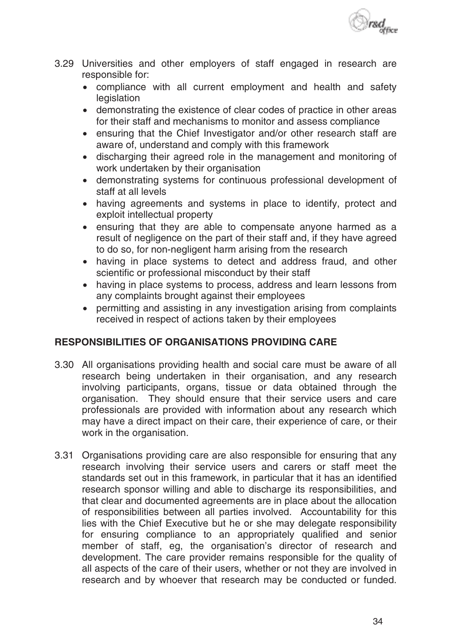

- 3.29 Universities and other employers of staff engaged in research are responsible for:
	- compliance with all current employment and health and safety **legislation**
	- demonstrating the existence of clear codes of practice in other areas for their staff and mechanisms to monitor and assess compliance
	- ensuring that the Chief Investigator and/or other research staff are aware of, understand and comply with this framework
	- discharging their agreed role in the management and monitoring of work undertaken by their organisation
	- demonstrating systems for continuous professional development of staff at all levels
	- having agreements and systems in place to identify, protect and exploit intellectual property
	- ensuring that they are able to compensate anyone harmed as a result of negligence on the part of their staff and, if they have agreed to do so, for non-negligent harm arising from the research
	- having in place systems to detect and address fraud, and other scientific or professional misconduct by their staff
	- having in place systems to process, address and learn lessons from any complaints brought against their employees
	- permitting and assisting in any investigation arising from complaints received in respect of actions taken by their employees

## **RESPONSIBILITIES OF ORGANISATIONS PROVIDING CARE**

- 3.30 All organisations providing health and social care must be aware of all research being undertaken in their organisation, and any research involving participants, organs, tissue or data obtained through the organisation. They should ensure that their service users and care professionals are provided with information about any research which may have a direct impact on their care, their experience of care, or their work in the organisation.
- 3.31 Organisations providing care are also responsible for ensuring that any research involving their service users and carers or staff meet the standards set out in this framework, in particular that it has an identified research sponsor willing and able to discharge its responsibilities, and that clear and documented agreements are in place about the allocation of responsibilities between all parties involved. Accountability for this lies with the Chief Executive but he or she may delegate responsibility for ensuring compliance to an appropriately qualified and senior member of staff, eg, the organisation's director of research and development. The care provider remains responsible for the quality of all aspects of the care of their users, whether or not they are involved in research and by whoever that research may be conducted or funded.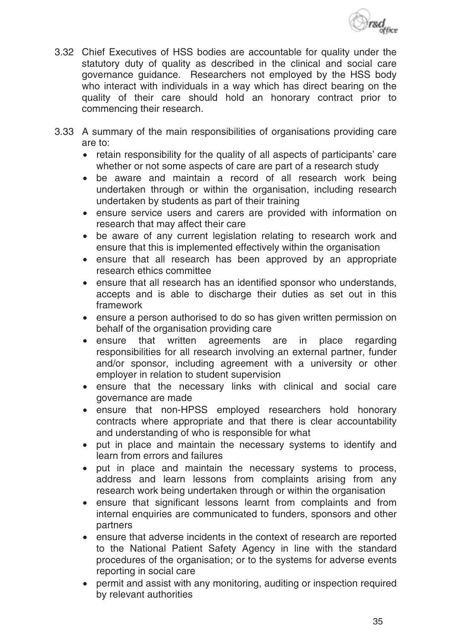

- 3.32 Chief Executives of HSS bodies are accountable for quality under the statutory duty of quality as described in the clinical and social care governance guidance. Researchers not employed by the HSS body who interact with individuals in a way which has direct bearing on the quality of their care should hold an honorary contract prior to commencing their research.
- 3.33 A summary of the main responsibilities of organisations providing care are to:
	- retain responsibility for the quality of all aspects of participants' care whether or not some aspects of care are part of a research study
	- be aware and maintain a record of all research work being undertaken through or within the organisation, including research undertaken by students as part of their training
	- ensure service users and carers are provided with information on research that may affect their care
	- be aware of any current legislation relating to research work and ensure that this is implemented effectively within the organisation
	- ensure that all research has been approved by an appropriate research ethics committee
	- ensure that all research has an identified sponsor who understands, accepts and is able to discharge their duties as set out in this framework
	- ensure a person authorised to do so has given written permission on behalf of the organisation providing care
	- ensure that written agreements are in place regarding responsibilities for all research involving an external partner, funder and/or sponsor, including agreement with a university or other employer in relation to student supervision
	- ensure that the necessary links with clinical and social care governance are made
	- ensure that non-HPSS employed researchers hold honorary contracts where appropriate and that there is clear accountability and understanding of who is responsible for what
	- put in place and maintain the necessary systems to identify and learn from errors and failures
	- put in place and maintain the necessary systems to process, address and learn lessons from complaints arising from any research work being undertaken through or within the organisation
	- ensure that significant lessons learnt from complaints and from internal enquiries are communicated to funders, sponsors and other partners
	- ensure that adverse incidents in the context of research are reported to the National Patient Safety Agency in line with the standard procedures of the organisation; or to the systems for adverse events reporting in social care
	- permit and assist with any monitoring, auditing or inspection required by relevant authorities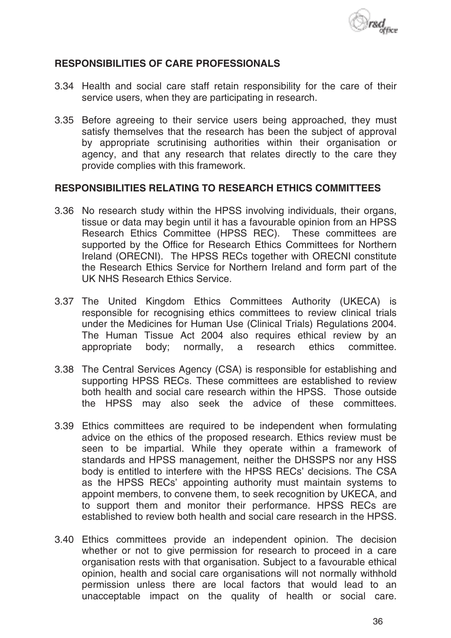

## **RESPONSIBILITIES OF CARE PROFESSIONALS**

- 3.34 Health and social care staff retain responsibility for the care of their service users, when they are participating in research.
- 3.35 Before agreeing to their service users being approached, they must satisfy themselves that the research has been the subject of approval by appropriate scrutinising authorities within their organisation or agency, and that any research that relates directly to the care they provide complies with this framework.

### **RESPONSIBILITIES RELATING TO RESEARCH ETHICS COMMITTEES**

- 3.36 No research study within the HPSS involving individuals, their organs, tissue or data may begin until it has a favourable opinion from an HPSS Research Ethics Committee (HPSS REC). These committees are supported by the Office for Research Ethics Committees for Northern Ireland (ORECNI). The HPSS RECs together with ORECNI constitute the Research Ethics Service for Northern Ireland and form part of the UK NHS Research Ethics Service.
- 3.37 The United Kingdom Ethics Committees Authority (UKECA) is responsible for recognising ethics committees to review clinical trials under the Medicines for Human Use (Clinical Trials) Regulations 2004. The Human Tissue Act 2004 also requires ethical review by an appropriate body; normally, a research ethics committee.
- 3.38 The Central Services Agency (CSA) is responsible for establishing and supporting HPSS RECs. These committees are established to review both health and social care research within the HPSS. Those outside the HPSS may also seek the advice of these committees.
- 3.39 Ethics committees are required to be independent when formulating advice on the ethics of the proposed research. Ethics review must be seen to be impartial. While they operate within a framework of standards and HPSS management, neither the DHSSPS nor any HSS body is entitled to interfere with the HPSS RECs' decisions. The CSA as the HPSS RECs' appointing authority must maintain systems to appoint members, to convene them, to seek recognition by UKECA, and to support them and monitor their performance. HPSS RECs are established to review both health and social care research in the HPSS.
- 3.40 Ethics committees provide an independent opinion. The decision whether or not to give permission for research to proceed in a care organisation rests with that organisation. Subject to a favourable ethical opinion, health and social care organisations will not normally withhold permission unless there are local factors that would lead to an unacceptable impact on the quality of health or social care.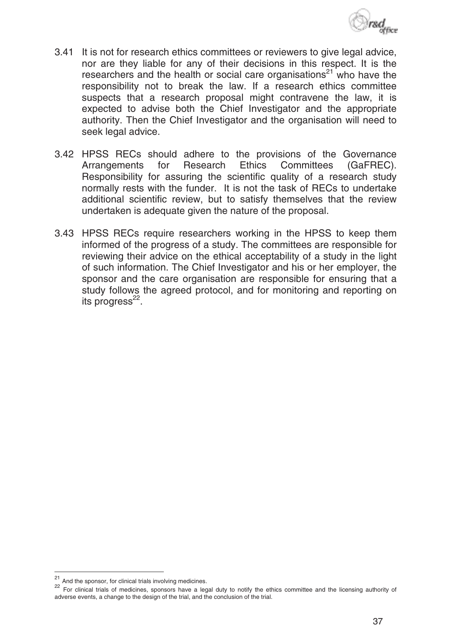

- 3.41 It is not for research ethics committees or reviewers to give legal advice, nor are they liable for any of their decisions in this respect. It is the researchers and the health or social care organisations<sup>21</sup> who have the responsibility not to break the law. If a research ethics committee suspects that a research proposal might contravene the law, it is expected to advise both the Chief Investigator and the appropriate authority. Then the Chief Investigator and the organisation will need to seek legal advice.
- 3.42 HPSS RECs should adhere to the provisions of the Governance Arrangements for Research Ethics Committees (GaFREC). Responsibility for assuring the scientific quality of a research study normally rests with the funder. It is not the task of RECs to undertake additional scientific review, but to satisfy themselves that the review undertaken is adequate given the nature of the proposal.
- 3.43 HPSS RECs require researchers working in the HPSS to keep them informed of the progress of a study. The committees are responsible for reviewing their advice on the ethical acceptability of a study in the light of such information. The Chief Investigator and his or her employer, the sponsor and the care organisation are responsible for ensuring that a study follows the agreed protocol, and for monitoring and reporting on its progress<sup>22</sup>.

<sup>21</sup> And the sponsor, for clinical trials involving medicines.

<sup>22</sup> For clinical trials of medicines, sponsors have a legal duty to notify the ethics committee and the licensing authority of adverse events, a change to the design of the trial, and the conclusion of the trial.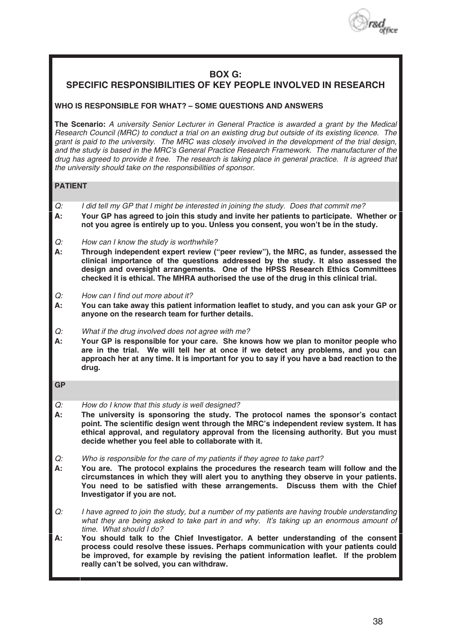

## **BOX G:**

## **SPECIFIC RESPONSIBILITIES OF KEY PEOPLE INVOLVED IN RESEARCH**

#### **WHO IS RESPONSIBLE FOR WHAT? – SOME QUESTIONS AND ANSWERS**

**The Scenario:** A university Senior Lecturer in General Practice is awarded a grant by the Medical Research Council (MRC) to conduct a trial on an existing drug but outside of its existing licence. The grant is paid to the university. The MRC was closely involved in the development of the trial design, and the study is based in the MRC's General Practice Research Framework. The manufacturer of the drug has agreed to provide it free. The research is taking place in general practice. It is agreed that the university should take on the responsibilities of sponsor.

#### **PATIENT**

- Q: I did tell my GP that I might be interested in joining the study. Does that commit me?
- **A: Your GP has agreed to join this study and invite her patients to participate. Whether or not you agree is entirely up to you. Unless you consent, you won't be in the study.**
- Q: How can I know the study is worthwhile?
- **A: Through independent expert review ("peer review"), the MRC, as funder, assessed the clinical importance of the questions addressed by the study. It also assessed the design and oversight arrangements. One of the HPSS Research Ethics Committees checked it is ethical. The MHRA authorised the use of the drug in this clinical trial.**
- Q: How can I find out more about it?
- **A: You can take away this patient information leaflet to study, and you can ask your GP or anyone on the research team for further details.**
- Q: What if the drug involved does not agree with me?
- **A: Your GP is responsible for your care. She knows how we plan to monitor people who are in the trial. We will tell her at once if we detect any problems, and you can approach her at any time. It is important for you to say if you have a bad reaction to the drug.**

**GP** 

- Q: How do I know that this study is well designed?
- **A: The university is sponsoring the study. The protocol names the sponsor's contact point. The scientific design went through the MRC's independent review system. It has ethical approval, and regulatory approval from the licensing authority. But you must decide whether you feel able to collaborate with it.**
- Q: Who is responsible for the care of my patients if they agree to take part?
- **A: You are. The protocol explains the procedures the research team will follow and the circumstances in which they will alert you to anything they observe in your patients. You need to be satisfied with these arrangements. Discuss them with the Chief Investigator if you are not.**
- Q: I have agreed to join the study, but a number of my patients are having trouble understanding what they are being asked to take part in and why. It's taking up an enormous amount of time. What should I do?
- **A: You should talk to the Chief Investigator. A better understanding of the consent process could resolve these issues. Perhaps communication with your patients could be improved, for example by revising the patient information leaflet. If the problem really can't be solved, you can withdraw.**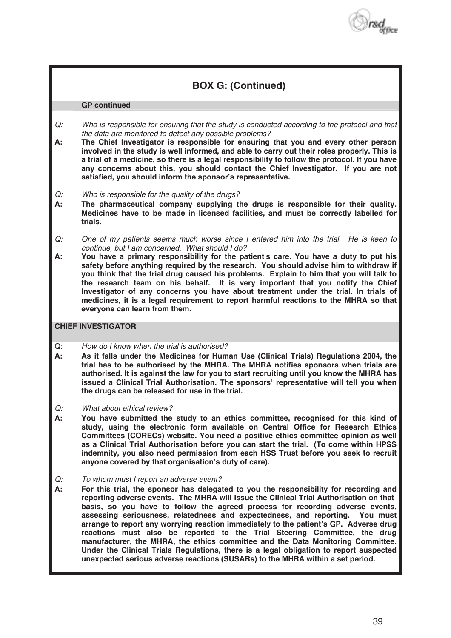## **BOX G: (Continued)**

#### **GP continued**

- Q: Who is responsible for ensuring that the study is conducted according to the protocol and that the data are monitored to detect any possible problems?
- **A: The Chief Investigator is responsible for ensuring that you and every other person involved in the study is well informed, and able to carry out their roles properly. This is a trial of a medicine, so there is a legal responsibility to follow the protocol. If you have any concerns about this, you should contact the Chief Investigator. If you are not satisfied, you should inform the sponsor's representative.**
- Q: Who is responsible for the quality of the drugs?
- **A: The pharmaceutical company supplying the drugs is responsible for their quality. Medicines have to be made in licensed facilities, and must be correctly labelled for trials.**
- Q: One of my patients seems much worse since I entered him into the trial. He is keen to continue, but I am concerned. What should I do?
- **A: You have a primary responsibility for the patient's care. You have a duty to put his safety before anything required by the research. You should advise him to withdraw if you think that the trial drug caused his problems. Explain to him that you will talk to the research team on his behalf. It is very important that you notify the Chief Investigator of any concerns you have about treatment under the trial. In trials of medicines, it is a legal requirement to report harmful reactions to the MHRA so that everyone can learn from them.**

#### **CHIEF INVESTIGATOR**

- Q: How do I know when the trial is authorised?
- **A: As it falls under the Medicines for Human Use (Clinical Trials) Regulations 2004, the trial has to be authorised by the MHRA. The MHRA notifies sponsors when trials are authorised. It is against the law for you to start recruiting until you know the MHRA has issued a Clinical Trial Authorisation. The sponsors' representative will tell you when the drugs can be released for use in the trial.**
- Q: What about ethical review?
- **A: You have submitted the study to an ethics committee, recognised for this kind of study, using the electronic form available on Central Office for Research Ethics Committees (CORECs) website. You need a positive ethics committee opinion as well as a Clinical Trial Authorisation before you can start the trial. (To come within HPSS indemnity, you also need permission from each HSS Trust before you seek to recruit anyone covered by that organisation's duty of care).**
- Q: To whom must I report an adverse event?
- **A: For this trial, the sponsor has delegated to you the responsibility for recording and basis, so you have to follow the agreed process for recording adverse events, assessing seriousness, relatedness and expectedness, and reporting. You must arrange to report any worrying reaction immediately to the patient's GP. Adverse drug reactions must also be reported to the Trial Steering Committee, the drug manufacturer, the MHRA, the ethics committee and the Data Monitoring Committee. Under the Clinical Trials Regulations, there is a legal obligation to report suspected unexpected serious adverse reactions (SUSARs) to the MHRA within a set period. reporting adverse events. The MHRA will issue the Clinical Trial Authorisation on that**

rød<sub>sfice</sub>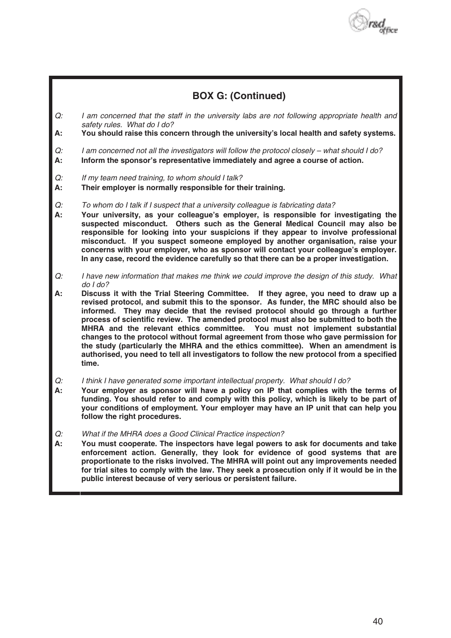

## **BOX G: (Continued)**

- Q: I am concerned that the staff in the university labs are not following appropriate health and safety rules. What do I do?
- **A: You should raise this concern through the university's local health and safety systems.**
- Q: I am concerned not all the investigators will follow the protocol closely what should I do?
- **A: Inform the sponsor's representative immediately and agree a course of action.**
- Q: If my team need training, to whom should I talk?
- **A: Their employer is normally responsible for their training.**
- Q: To whom do I talk if I suspect that a university colleague is fabricating data?

**A: Your university, as your colleague's employer, is responsible for investigating the suspected misconduct. Others such as the General Medical Council may also be responsible for looking into your suspicions if they appear to involve professional misconduct. If you suspect someone employed by another organisation, raise your concerns with your employer, who as sponsor will contact your colleague's employer. In any case, record the evidence carefully so that there can be a proper investigation.** 

Q: I have new information that makes me think we could improve the design of this study. What do I do?

**A: Discuss it with the Trial Steering Committee. If they agree, you need to draw up a revised protocol, and submit this to the sponsor. As funder, the MRC should also be informed. They may decide that the revised protocol should go through a further process of scientific review. The amended protocol must also be submitted to both the MHRA and the relevant ethics committee. You must not implement substantial changes to the protocol without formal agreement from those who gave permission for the study (particularly the MHRA and the ethics committee). When an amendment is authorised, you need to tell all investigators to follow the new protocol from a specified time.** 

- Q: I think I have generated some important intellectual property. What should I do?
- **A: Your employer as sponsor will have a policy on IP that complies with the terms of funding. You should refer to and comply with this policy, which is likely to be part of your conditions of employment. Your employer may have an IP unit that can help you follow the right procedures.**
- Q: What if the MHRA does a Good Clinical Practice inspection?
- **A: You must cooperate. The inspectors have legal powers to ask for documents and take enforcement action. Generally, they look for evidence of good systems that are proportionate to the risks involved. The MHRA will point out any improvements needed for trial sites to comply with the law. They seek a prosecution only if it would be in the public interest because of very serious or persistent failure.**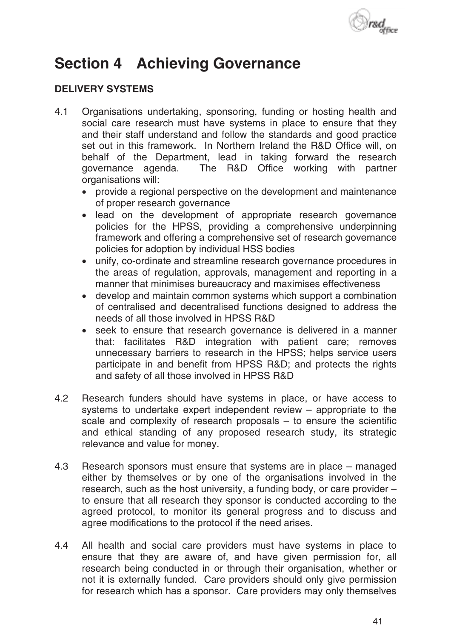

## **Section 4 Achieving Governance**

## **DELIVERY SYSTEMS**

- 4.1 Organisations undertaking, sponsoring, funding or hosting health and social care research must have systems in place to ensure that they and their staff understand and follow the standards and good practice set out in this framework. In Northern Ireland the R&D Office will, on behalf of the Department, lead in taking forward the research governance agenda. The R&D Office working with partner organisations will:
	- provide a regional perspective on the development and maintenance of proper research governance
	- lead on the development of appropriate research governance policies for the HPSS, providing a comprehensive underpinning framework and offering a comprehensive set of research governance policies for adoption by individual HSS bodies
	- unify, co-ordinate and streamline research governance procedures in the areas of regulation, approvals, management and reporting in a manner that minimises bureaucracy and maximises effectiveness
	- develop and maintain common systems which support a combination of centralised and decentralised functions designed to address the needs of all those involved in HPSS R&D
	- seek to ensure that research governance is delivered in a manner that: facilitates R&D integration with patient care; removes unnecessary barriers to research in the HPSS; helps service users participate in and benefit from HPSS R&D; and protects the rights and safety of all those involved in HPSS R&D
- 4.2 Research funders should have systems in place, or have access to systems to undertake expert independent review – appropriate to the scale and complexity of research proposals – to ensure the scientific and ethical standing of any proposed research study, its strategic relevance and value for money.
- 4.3 Research sponsors must ensure that systems are in place managed either by themselves or by one of the organisations involved in the research, such as the host university, a funding body, or care provider – to ensure that all research they sponsor is conducted according to the agreed protocol, to monitor its general progress and to discuss and agree modifications to the protocol if the need arises.
- 4.4 All health and social care providers must have systems in place to ensure that they are aware of, and have given permission for, all research being conducted in or through their organisation, whether or not it is externally funded. Care providers should only give permission for research which has a sponsor. Care providers may only themselves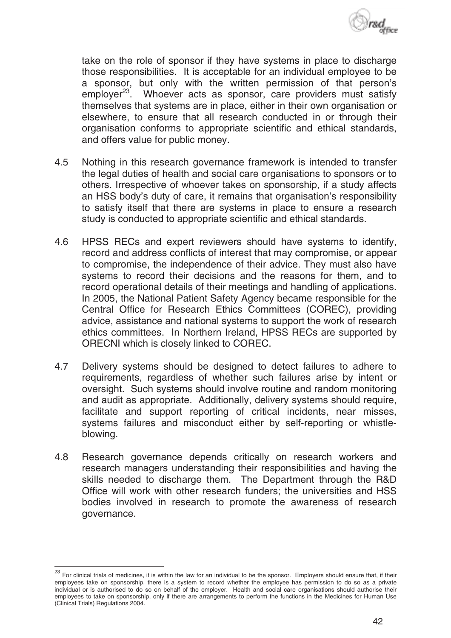

take on the role of sponsor if they have systems in place to discharge those responsibilities. It is acceptable for an individual employee to be a sponsor, but only with the written permission of that person's employer<sup>23</sup>. Whoever acts as sponsor, care providers must satisfy themselves that systems are in place, either in their own organisation or elsewhere, to ensure that all research conducted in or through their organisation conforms to appropriate scientific and ethical standards, and offers value for public money.

- 4.5 Nothing in this research governance framework is intended to transfer the legal duties of health and social care organisations to sponsors or to others. Irrespective of whoever takes on sponsorship, if a study affects an HSS body's duty of care, it remains that organisation's responsibility to satisfy itself that there are systems in place to ensure a research study is conducted to appropriate scientific and ethical standards.
- 4.6 HPSS RECs and expert reviewers should have systems to identify, record and address conflicts of interest that may compromise, or appear to compromise, the independence of their advice. They must also have systems to record their decisions and the reasons for them, and to record operational details of their meetings and handling of applications. In 2005, the National Patient Safety Agency became responsible for the Central Office for Research Ethics Committees (COREC), providing advice, assistance and national systems to support the work of research ethics committees. In Northern Ireland, HPSS RECs are supported by ORECNI which is closely linked to COREC.
- 4.7 Delivery systems should be designed to detect failures to adhere to requirements, regardless of whether such failures arise by intent or oversight. Such systems should involve routine and random monitoring and audit as appropriate. Additionally, delivery systems should require, facilitate and support reporting of critical incidents, near misses, systems failures and misconduct either by self-reporting or whistleblowing.
- 4.8 Research governance depends critically on research workers and research managers understanding their responsibilities and having the skills needed to discharge them. The Department through the R&D Office will work with other research funders; the universities and HSS bodies involved in research to promote the awareness of research governance.

<sup>&</sup>lt;sup>23</sup> For clinical trials of medicines, it is within the law for an individual to be the sponsor. Employers should ensure that, if their employees take on sponsorship, there is a system to record whether the employee has permission to do so as a private individual or is authorised to do so on behalf of the employer. Health and social care organisations should authorise their employees to take on sponsorship, only if there are arrangements to perform the functions in the Medicines for Human Use (Clinical Trials) Regulations 2004.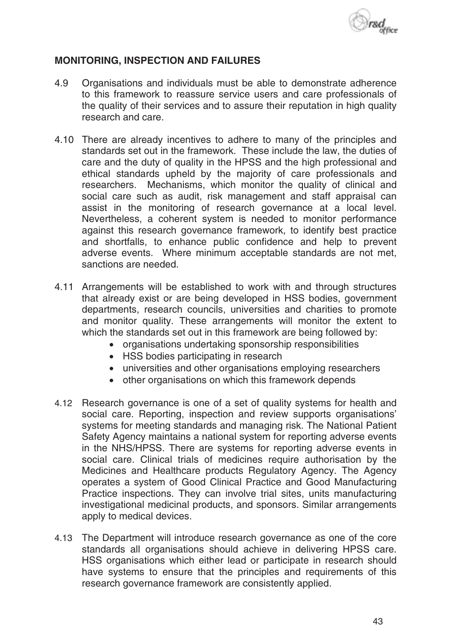

## **MONITORING, INSPECTION AND FAILURES**

- 4.9 Organisations and individuals must be able to demonstrate adherence to this framework to reassure service users and care professionals of the quality of their services and to assure their reputation in high quality research and care.
- 4.10 There are already incentives to adhere to many of the principles and standards set out in the framework. These include the law, the duties of care and the duty of quality in the HPSS and the high professional and ethical standards upheld by the majority of care professionals and researchers. Mechanisms, which monitor the quality of clinical and social care such as audit, risk management and staff appraisal can assist in the monitoring of research governance at a local level. Nevertheless, a coherent system is needed to monitor performance against this research governance framework, to identify best practice and shortfalls, to enhance public confidence and help to prevent adverse events. Where minimum acceptable standards are not met, sanctions are needed.
- 4.11 Arrangements will be established to work with and through structures that already exist or are being developed in HSS bodies, government departments, research councils, universities and charities to promote and monitor quality. These arrangements will monitor the extent to which the standards set out in this framework are being followed by:
	- organisations undertaking sponsorship responsibilities
	- HSS bodies participating in research
	- universities and other organisations employing researchers
	- other organisations on which this framework depends
- 4.12 Research governance is one of a set of quality systems for health and social care. Reporting, inspection and review supports organisations' systems for meeting standards and managing risk. The National Patient Safety Agency maintains a national system for reporting adverse events in the NHS/HPSS. There are systems for reporting adverse events in social care. Clinical trials of medicines require authorisation by the Medicines and Healthcare products Regulatory Agency. The Agency operates a system of Good Clinical Practice and Good Manufacturing Practice inspections. They can involve trial sites, units manufacturing investigational medicinal products, and sponsors. Similar arrangements apply to medical devices.
- 4.13 The Department will introduce research governance as one of the core standards all organisations should achieve in delivering HPSS care. HSS organisations which either lead or participate in research should have systems to ensure that the principles and requirements of this research governance framework are consistently applied.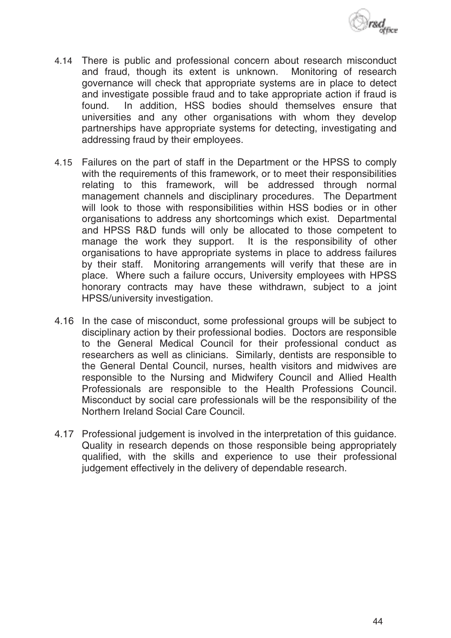

- 4.14 There is public and professional concern about research misconduct and fraud, though its extent is unknown. Monitoring of research governance will check that appropriate systems are in place to detect and investigate possible fraud and to take appropriate action if fraud is found. In addition, HSS bodies should themselves ensure that universities and any other organisations with whom they develop partnerships have appropriate systems for detecting, investigating and addressing fraud by their employees.
- 4.15 Failures on the part of staff in the Department or the HPSS to comply with the requirements of this framework, or to meet their responsibilities relating to this framework, will be addressed through normal management channels and disciplinary procedures. The Department will look to those with responsibilities within HSS bodies or in other organisations to address any shortcomings which exist. Departmental and HPSS R&D funds will only be allocated to those competent to manage the work they support. It is the responsibility of other organisations to have appropriate systems in place to address failures by their staff. Monitoring arrangements will verify that these are in place. Where such a failure occurs, University employees with HPSS honorary contracts may have these withdrawn, subject to a joint HPSS/university investigation.
- 4.16 In the case of misconduct, some professional groups will be subject to disciplinary action by their professional bodies. Doctors are responsible to the General Medical Council for their professional conduct as researchers as well as clinicians. Similarly, dentists are responsible to the General Dental Council, nurses, health visitors and midwives are responsible to the Nursing and Midwifery Council and Allied Health Professionals are responsible to the Health Professions Council. Misconduct by social care professionals will be the responsibility of the Northern Ireland Social Care Council.
- 4.17 Professional judgement is involved in the interpretation of this guidance. Quality in research depends on those responsible being appropriately qualified, with the skills and experience to use their professional judgement effectively in the delivery of dependable research.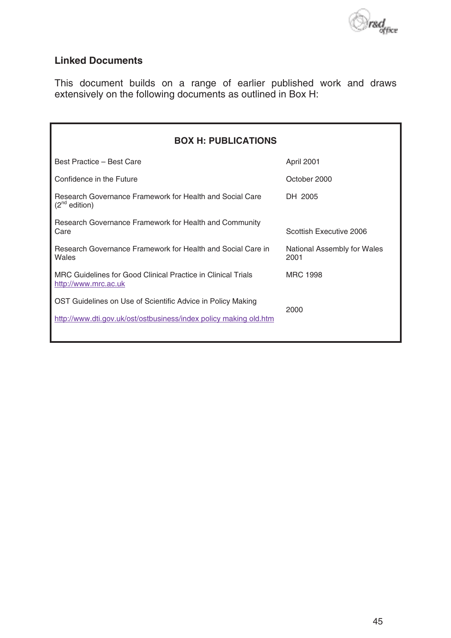

## **Linked Documents**

This document builds on a range of earlier published work and draws extensively on the following documents as outlined in Box H:

| <b>BOX H: PUBLICATIONS</b>                                                                                                       |                                     |  |  |  |  |
|----------------------------------------------------------------------------------------------------------------------------------|-------------------------------------|--|--|--|--|
| Best Practice - Best Care                                                                                                        | April 2001                          |  |  |  |  |
| Confidence in the Future                                                                                                         | October 2000                        |  |  |  |  |
| Research Governance Framework for Health and Social Care<br>$(2^{nd}$ edition)                                                   | DH 2005                             |  |  |  |  |
| Research Governance Framework for Health and Community<br>Care                                                                   | Scottish Executive 2006             |  |  |  |  |
| Research Governance Framework for Health and Social Care in<br>Wales                                                             | National Assembly for Wales<br>2001 |  |  |  |  |
| MRC Guidelines for Good Clinical Practice in Clinical Trials<br>http://www.mrc.ac.uk                                             | <b>MRC 1998</b>                     |  |  |  |  |
| OST Guidelines on Use of Scientific Advice in Policy Making<br>http://www.dti.gov.uk/ost/ostbusiness/index policy making old.htm | 2000                                |  |  |  |  |
|                                                                                                                                  |                                     |  |  |  |  |